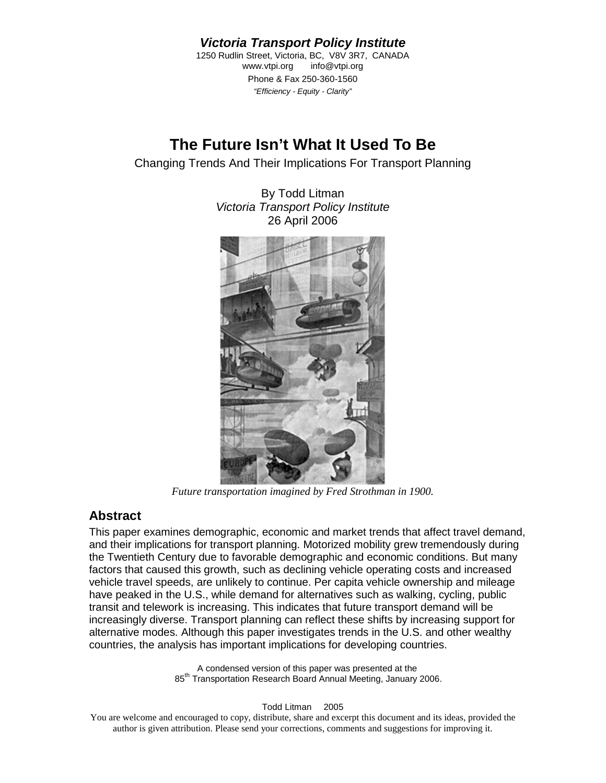*Victoria Transport Policy Institute* 

<span id="page-0-0"></span>1250 Rudlin Street, Victoria, BC, V8V 3R7, CANADA www.vtpi.org info@vtpi.org Phone & Fax 250-360-1560 *"Efficiency - Equity - Clarity"*

# **The Future Isn't What It Used To Be**

Changing Trends And Their Implications For Transport Planning

By Todd Litman *Victoria Transport Policy Institute*  26 April 2006



*Future transportation imagined by Fred Strothman in 1900.* 

## **Abstract**

This paper examines demographic, economic and market trends that affect travel demand, and their implications for transport planning. Motorized mobility grew tremendously during the Twentieth Century due to favorable demographic and economic conditions. But many factors that caused this growth, such as declining vehicle operating costs and increased vehicle travel speeds, are unlikely to continue. Per capita vehicle ownership and mileage have peaked in the U.S., while demand for alternatives such as walking, cycling, public transit and telework is increasing. This indicates that future transport demand will be increasingly diverse. Transport planning can reflect these shifts by increasing support for alternative modes. Although this paper investigates trends in the U.S. and other wealthy countries, the analysis has important implications for developing countries.

> A condensed version of this paper was presented at the 85<sup>th</sup> Transportation Research Board Annual Meeting, January 2006.

> > Todd Litman © 2005

You are welcome and encouraged to copy, distribute, share and excerpt this document and its ideas, provided the author is given attribution. Please send your corrections, comments and suggestions for improving it.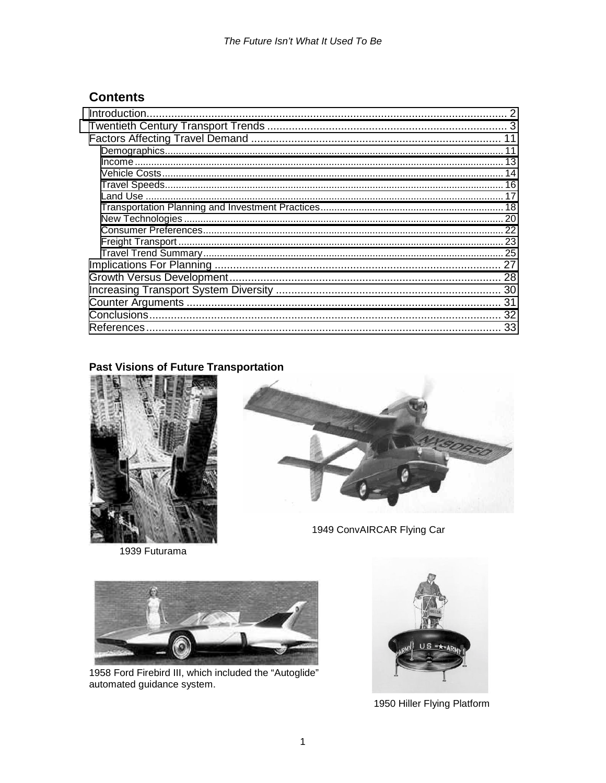# **Contents**

| Introduction. |
|---------------|
|               |
|               |
|               |
|               |
|               |
|               |
|               |
|               |
|               |
|               |
|               |
|               |
|               |
|               |
|               |
|               |
|               |
|               |

### **Past Visions of Future Transportation**



1939 Futurama



1949 ConvAIRCAR Flying Car



1958 Ford Firebird III, which included the "Autoglide"<br>automated guidance system.



1950 Hiller Flying Platform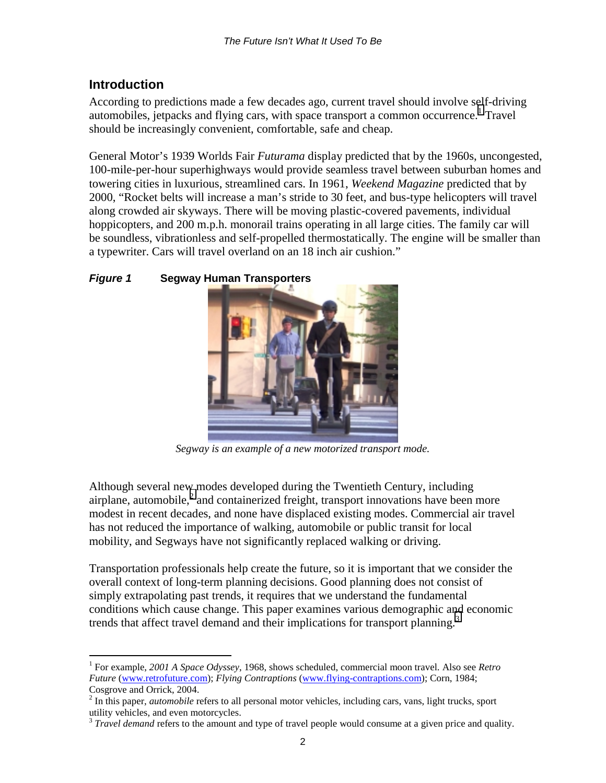## <span id="page-2-0"></span>**Introduction**

According to predictions made a few decades ago, current travel should involve self-driving automobiles, jetpacks and flying cars, with space transport a common occurrence.<sup>1</sup> Travel should be increasingly convenient, comfortable, safe and cheap.

General Motor's 1939 Worlds Fair *Futurama* display predicted that by the 1960s, uncongested, 100-mile-per-hour superhighways would provide seamless travel between suburban homes and towering cities in luxurious, streamlined cars. In 1961, *Weekend Magazine* predicted that by 2000, "Rocket belts will increase a man's stride to 30 feet, and bus-type helicopters will travel along crowded air skyways. There will be moving plastic-covered pavements, individual hoppicopters, and 200 m.p.h. monorail trains operating in all large cities. The family car will be soundless, vibrationless and self-propelled thermostatically. The engine will be smaller than a typewriter. Cars will travel overland on an 18 inch air cushion."

## *Figure 1* **Segway Human Transporters**



*Segway is an example of a new motorized transport mode.* 

Although several new modes developed during the Twentieth Century, including airplane, automobile, $^2$  and containerized freight, transport innovations have been more modest in recent decades, and none have displaced existing modes. Commercial air travel has not reduced the importance of walking, automobile or public transit for local mobility, and Segways have not significantly replaced walking or driving.

Transportation professionals help create the future, so it is important that we consider the overall context of long-term planning decisions. Good planning does not consist of simply extrapolating past trends, it requires that we understand the fundamental conditions which cause change. This paper examines various demographic and economic trends that affect travel demand and their implications for transport planning.<sup>3</sup>

 $\overline{a}$ 1 For example, *2001 A Space Odyssey*, 1968, shows scheduled, commercial moon travel. Also see *Retro Future* (www.retrofuture.com); *Flying Contraptions* (www.flying-contraptions.com); Corn, 1984; Cosgrove and Orrick, 2004.

<sup>&</sup>lt;sup>2</sup> In this paper, *automobile* refers to all personal motor vehicles, including cars, vans, light trucks, sport utility vehicles, and even motorcycles.

<sup>&</sup>lt;sup>3</sup> *Travel demand* refers to the amount and type of travel people would consume at a given price and quality.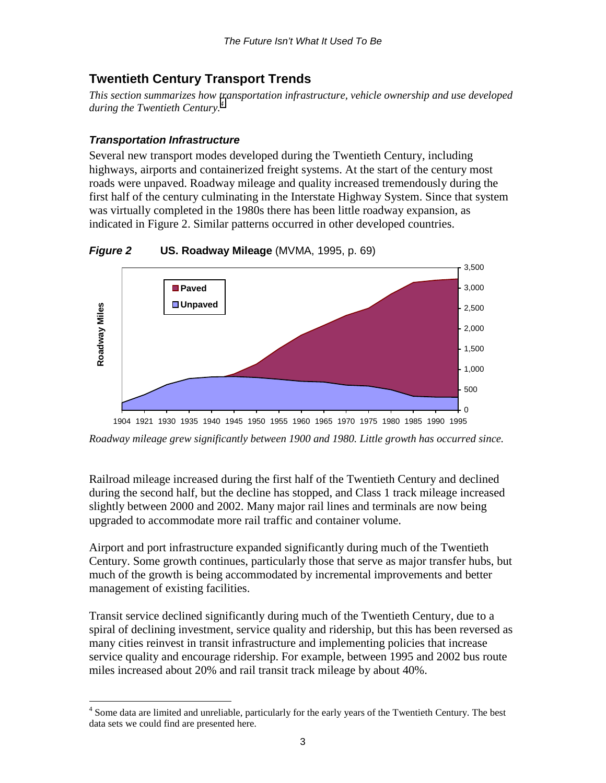## <span id="page-3-0"></span>**Twentieth Century Transport Trends**

*This section summarizes how transportation infrastructure, vehicle ownership and use developed*  during the Twentieth Century.<sup>4</sup>

### *Transportation Infrastructure*

Several new transport modes developed during the Twentieth Century, including highways, airports and containerized freight systems. At the start of the century most roads were unpaved. Roadway mileage and quality increased tremendously during the first half of the century culminating in the Interstate Highway System. Since that system was virtually completed in the 1980s there has been little roadway expansion, as indicated in Figure 2. Similar patterns occurred in other developed countries.

*Figure 2* **US. Roadway Mileage** (MVMA, 1995, p. 69)



*Roadway mileage grew significantly between 1900 and 1980. Little growth has occurred since.* 

Railroad mileage increased during the first half of the Twentieth Century and declined during the second half, but the decline has stopped, and Class 1 track mileage increased slightly between 2000 and 2002. Many major rail lines and terminals are now being upgraded to accommodate more rail traffic and container volume.

Airport and port infrastructure expanded significantly during much of the Twentieth Century. Some growth continues, particularly those that serve as major transfer hubs, but much of the growth is being accommodated by incremental improvements and better management of existing facilities.

Transit service declined significantly during much of the Twentieth Century, due to a spiral of declining investment, service quality and ridership, but this has been reversed as many cities reinvest in transit infrastructure and implementing policies that increase service quality and encourage ridership. For example, between 1995 and 2002 bus route miles increased about 20% and rail transit track mileage by about 40%.

 $\overline{a}$ <sup>4</sup> Some data are limited and unreliable, particularly for the early years of the Twentieth Century. The best data sets we could find are presented here.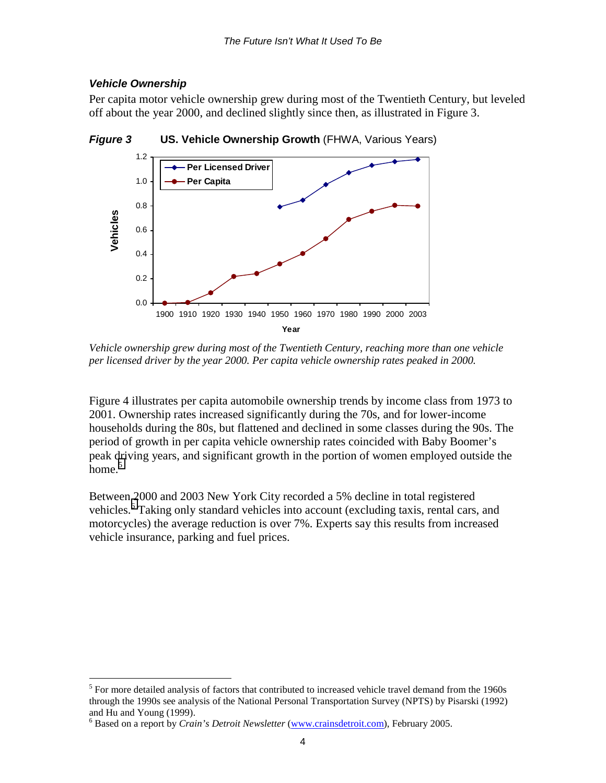### *Vehicle Ownership*

 $\overline{a}$ 

Per capita motor vehicle ownership grew during most of the Twentieth Century, but leveled off about the year 2000, and declined slightly since then, as illustrated in Figure 3.



*Figure 3* **US. Vehicle Ownership Growth** (FHWA, Various Years)

*Vehicle ownership grew during most of the Twentieth Century, reaching more than one vehicle per licensed driver by the year 2000. Per capita vehicle ownership rates peaked in 2000.* 

Figure 4 illustrates per capita automobile ownership trends by income class from 1973 to 2001. Ownership rates increased significantly during the 70s, and for lower-income households during the 80s, but flattened and declined in some classes during the 90s. The period of growth in per capita vehicle ownership rates coincided with Baby Boomer's peak driving years, and significant growth in the portion of women employed outside the home.<sup>5</sup>

Between 2000 and 2003 New York City recorded a 5% decline in total registered vehicles.<sup>6</sup> Taking only standard vehicles into account (excluding taxis, rental cars, and motorcycles) the average reduction is over 7%. Experts say this results from increased vehicle insurance, parking and fuel prices.

 $<sup>5</sup>$  For more detailed analysis of factors that contributed to increased vehicle travel demand from the 1960s</sup> through the 1990s see analysis of the National Personal Transportation Survey (NPTS) by Pisarski (1992) and Hu and Young (1999).

<sup>6</sup> Based on a report by *Crain's Detroit Newsletter* (www.crainsdetroit.com), February 2005.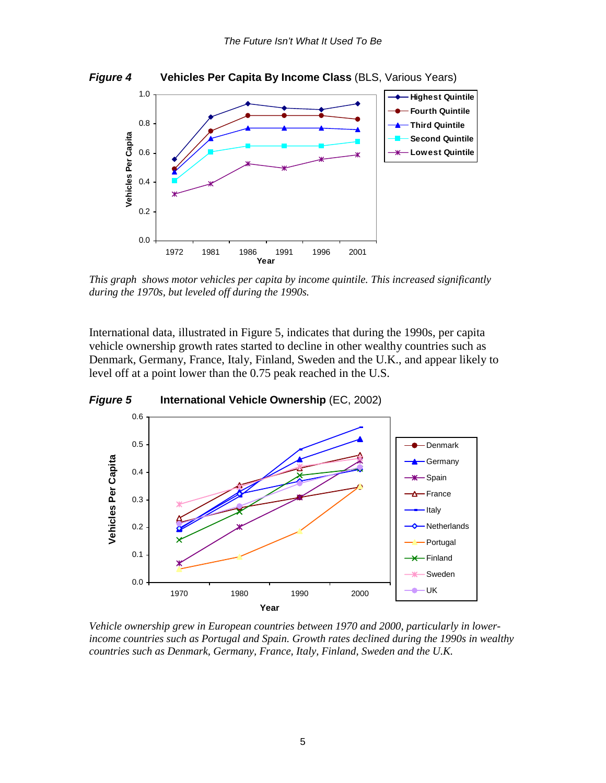

**Year**

*This graph shows motor vehicles per capita by income quintile. This increased significantly during the 1970s, but leveled off during the 1990s.* 

International data, illustrated in Figure 5, indicates that during the 1990s, per capita vehicle ownership growth rates started to decline in other wealthy countries such as Denmark, Germany, France, Italy, Finland, Sweden and the U.K., and appear likely to level off at a point lower than the 0.75 peak reached in the U.S.



*Vehicle ownership grew in European countries between 1970 and 2000, particularly in lowerincome countries such as Portugal and Spain. Growth rates declined during the 1990s in wealthy countries such as Denmark, Germany, France, Italy, Finland, Sweden and the U.K.*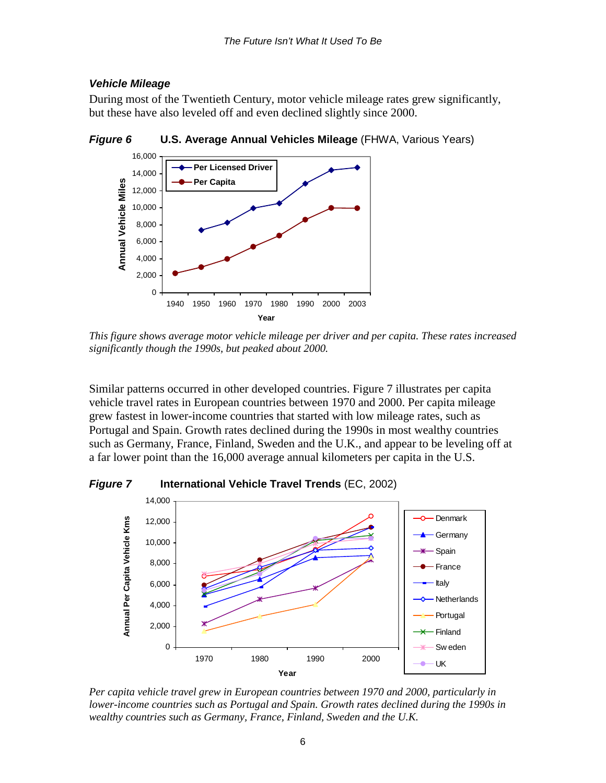#### *Vehicle Mileage*

During most of the Twentieth Century, motor vehicle mileage rates grew significantly, but these have also leveled off and even declined slightly since 2000.



*Figure 6* **U.S. Average Annual Vehicles Mileage** (FHWA, Various Years)

*This figure shows average motor vehicle mileage per driver and per capita. These rates increased significantly though the 1990s, but peaked about 2000.* 

Similar patterns occurred in other developed countries. Figure 7 illustrates per capita vehicle travel rates in European countries between 1970 and 2000. Per capita mileage grew fastest in lower-income countries that started with low mileage rates, such as Portugal and Spain. Growth rates declined during the 1990s in most wealthy countries such as Germany, France, Finland, Sweden and the U.K., and appear to be leveling off at a far lower point than the 16,000 average annual kilometers per capita in the U.S.

*Figure 7* **International Vehicle Travel Trends** (EC, 2002)



*Per capita vehicle travel grew in European countries between 1970 and 2000, particularly in lower-income countries such as Portugal and Spain. Growth rates declined during the 1990s in wealthy countries such as Germany, France, Finland, Sweden and the U.K.*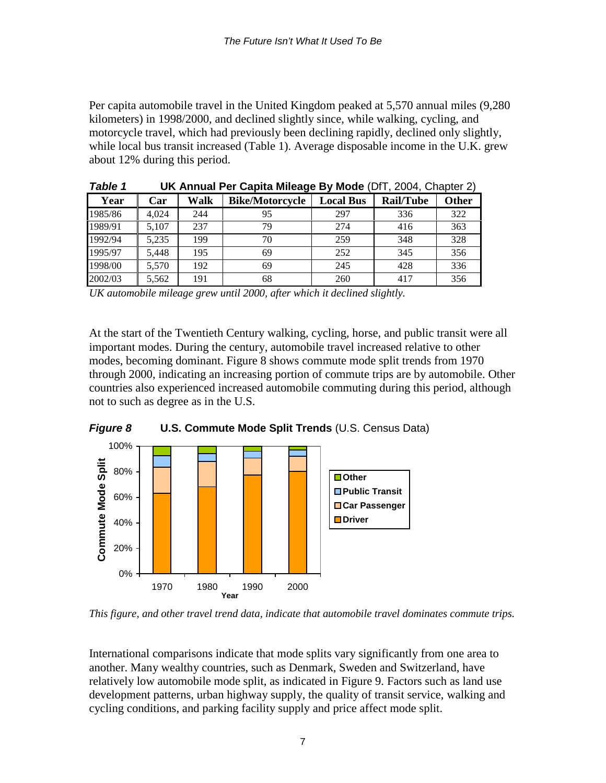Per capita automobile travel in the United Kingdom peaked at 5,570 annual miles (9,280 kilometers) in 1998/2000, and declined slightly since, while walking, cycling, and motorcycle travel, which had previously been declining rapidly, declined only slightly, while local bus transit increased (Table 1). Average disposable income in the U.K. grew about 12% during this period.

| ravie i |       |      | <b>UN Annual Fer Gapita Mileage by MOGE</b> (DFT, 2004, Gridpler 2) |                  |                  |              |
|---------|-------|------|---------------------------------------------------------------------|------------------|------------------|--------------|
| Year    | Car   | Walk | <b>Bike/Motorcycle</b>                                              | <b>Local Bus</b> | <b>Rail/Tube</b> | <b>Other</b> |
| 1985/86 | 4.024 | 244  | 95                                                                  | 297              | 336              | 322          |
| 1989/91 | 5.107 | 237  | 79                                                                  | 274              | 416              | 363          |
| 1992/94 | 5.235 | 199  | 70                                                                  | 259              | 348              | 328          |
| 1995/97 | 5,448 | 195  | 69                                                                  | 252              | 345              | 356          |
| 1998/00 | 5.570 | 192  | 69                                                                  | 245              | 428              | 336          |
| 2002/03 | 5,562 | 191  | 68                                                                  | 260              | 417              | 356          |

*Table 1* **UK Annual Per Capita Mileage By Mode** (DfT, 2004, Chapter 2)

*UK automobile mileage grew until 2000, after which it declined slightly.* 

At the start of the Twentieth Century walking, cycling, horse, and public transit were all important modes. During the century, automobile travel increased relative to other modes, becoming dominant. Figure 8 shows commute mode split trends from 1970 through 2000, indicating an increasing portion of commute trips are by automobile. Other countries also experienced increased automobile commuting during this period, although not to such as degree as in the U.S.



*This figure, and other travel trend data, indicate that automobile travel dominates commute trips.* 

International comparisons indicate that mode splits vary significantly from one area to another. Many wealthy countries, such as Denmark, Sweden and Switzerland, have relatively low automobile mode split, as indicated in Figure 9. Factors such as land use development patterns, urban highway supply, the quality of transit service, walking and cycling conditions, and parking facility supply and price affect mode split.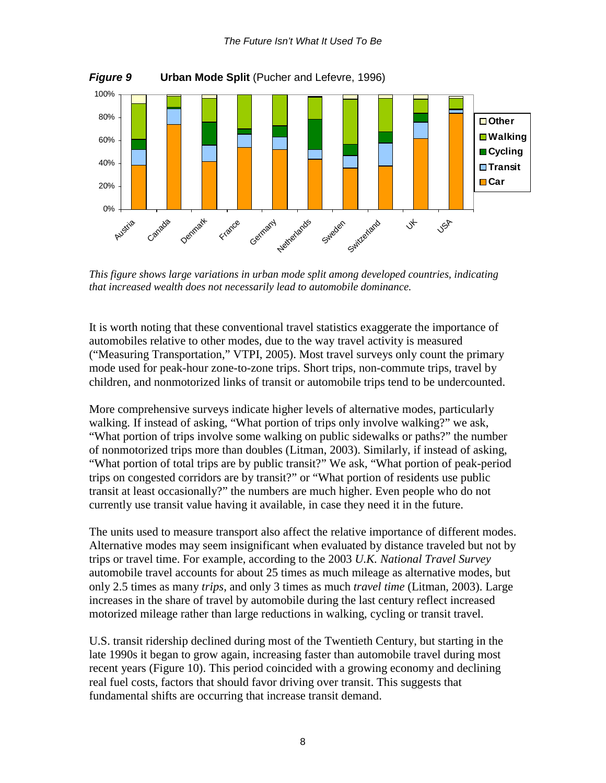

*This figure shows large variations in urban mode split among developed countries, indicating that increased wealth does not necessarily lead to automobile dominance.* 

It is worth noting that these conventional travel statistics exaggerate the importance of automobiles relative to other modes, due to the way travel activity is measured ("Measuring Transportation," VTPI, 2005). Most travel surveys only count the primary mode used for peak-hour zone-to-zone trips. Short trips, non-commute trips, travel by children, and nonmotorized links of transit or automobile trips tend to be undercounted.

More comprehensive surveys indicate higher levels of alternative modes, particularly walking. If instead of asking, "What portion of trips only involve walking?" we ask, "What portion of trips involve some walking on public sidewalks or paths?" the number of nonmotorized trips more than doubles (Litman, 2003). Similarly, if instead of asking, "What portion of total trips are by public transit?" We ask, "What portion of peak-period trips on congested corridors are by transit?" or "What portion of residents use public transit at least occasionally?" the numbers are much higher. Even people who do not currently use transit value having it available, in case they need it in the future.

The units used to measure transport also affect the relative importance of different modes. Alternative modes may seem insignificant when evaluated by distance traveled but not by trips or travel time. For example, according to the 2003 *U.K. National Travel Survey* automobile travel accounts for about 25 times as much mileage as alternative modes, but only 2.5 times as many *trips*, and only 3 times as much *travel time* (Litman, 2003). Large increases in the share of travel by automobile during the last century reflect increased motorized mileage rather than large reductions in walking, cycling or transit travel.

U.S. transit ridership declined during most of the Twentieth Century, but starting in the late 1990s it began to grow again, increasing faster than automobile travel during most recent years (Figure 10). This period coincided with a growing economy and declining real fuel costs, factors that should favor driving over transit. This suggests that fundamental shifts are occurring that increase transit demand.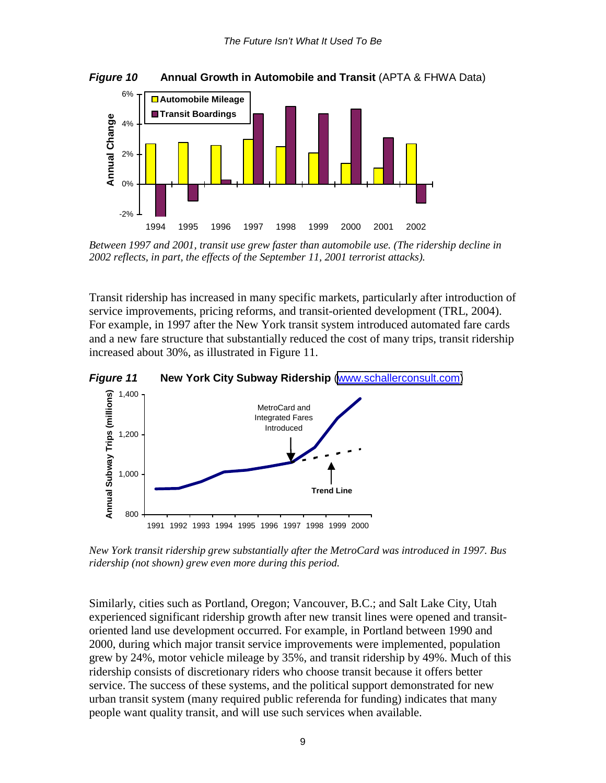*Figure 10* **• Annual Growth in Automobile and Transit (APTA & FHWA Data)** 



*Between 1997 and 2001, transit use grew faster than automobile use. (The ridership decline in 2002 reflects, in part, the effects of the September 11, 2001 terrorist attacks).* 

Transit ridership has increased in many specific markets, particularly after introduction of service improvements, pricing reforms, and transit-oriented development (TRL, 2004). For example, in 1997 after the New York transit system introduced automated fare cards and a new fare structure that substantially reduced the cost of many trips, transit ridership increased about 30%, as illustrated in Figure 11.

*Figure 11* **New York City Subway Ridership** [\(www.schallerconsult.com\)](http://www.schallerconsult.com/)



*New York transit ridership grew substantially after the MetroCard was introduced in 1997. Bus ridership (not shown) grew even more during this period.* 

Similarly, cities such as Portland, Oregon; Vancouver, B.C.; and Salt Lake City, Utah experienced significant ridership growth after new transit lines were opened and transitoriented land use development occurred. For example, in Portland between 1990 and 2000, during which major transit service improvements were implemented, population grew by 24%, motor vehicle mileage by 35%, and transit ridership by 49%. Much of this ridership consists of discretionary riders who choose transit because it offers better service. The success of these systems, and the political support demonstrated for new urban transit system (many required public referenda for funding) indicates that many people want quality transit, and will use such services when available.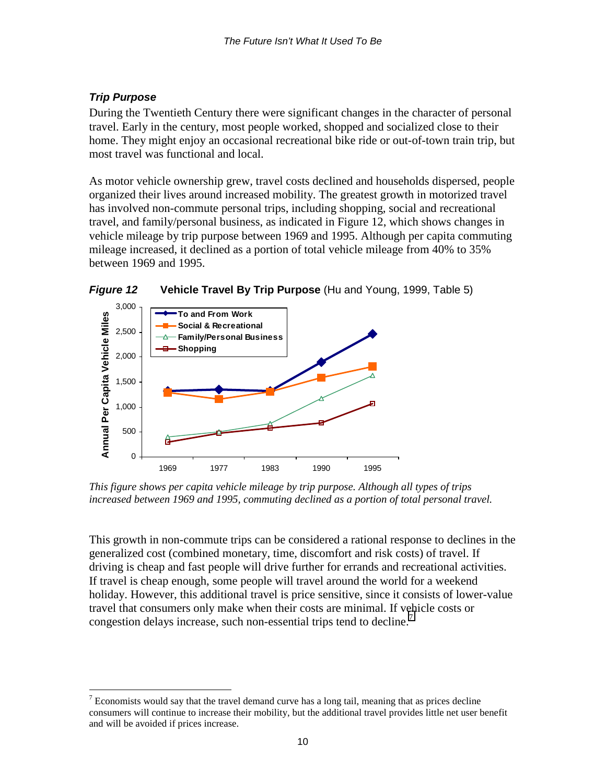## *Trip Purpose*

During the Twentieth Century there were significant changes in the character of personal travel. Early in the century, most people worked, shopped and socialized close to their home. They might enjoy an occasional recreational bike ride or out-of-town train trip, but most travel was functional and local.

As motor vehicle ownership grew, travel costs declined and households dispersed, people organized their lives around increased mobility. The greatest growth in motorized travel has involved non-commute personal trips, including shopping, social and recreational travel, and family/personal business, as indicated in Figure 12, which shows changes in vehicle mileage by trip purpose between 1969 and 1995. Although per capita commuting mileage increased, it declined as a portion of total vehicle mileage from 40% to 35% between 1969 and 1995.



*Figure 12* **Vehicle Travel By Trip Purpose** (Hu and Young, 1999, Table 5)

*This figure shows per capita vehicle mileage by trip purpose. Although all types of trips increased between 1969 and 1995, commuting declined as a portion of total personal travel.* 

This growth in non-commute trips can be considered a rational response to declines in the generalized cost (combined monetary, time, discomfort and risk costs) of travel. If driving is cheap and fast people will drive further for errands and recreational activities. If travel is cheap enough, some people will travel around the world for a weekend holiday. However, this additional travel is price sensitive, since it consists of lower-value travel that consumers only make when their costs are minimal. If vehicle costs or congestion delays increase, such non-essential trips tend to decline.<sup>7</sup>

 $\overline{a}$  $7$  Economists would say that the travel demand curve has a long tail, meaning that as prices decline consumers will continue to increase their mobility, but the additional travel provides little net user benefit and will be avoided if prices increase.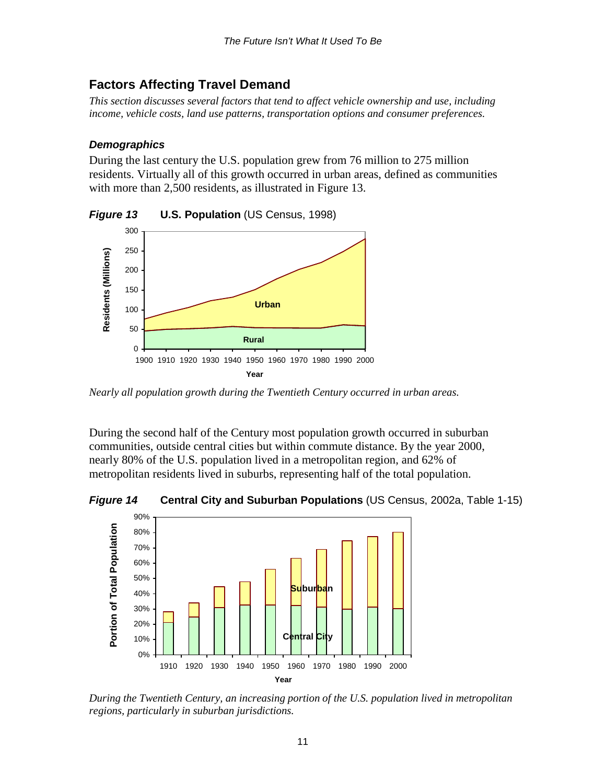## <span id="page-11-0"></span>**Factors Affecting Travel Demand**

*This section discusses several factors that tend to affect vehicle ownership and use, including income, vehicle costs, land use patterns, transportation options and consumer preferences.* 

### *Demographics*

0 50

100

During the last century the U.S. population grew from 76 million to 275 million residents. Virtually all of this growth occurred in urban areas, defined as communities with more than 2,500 residents, as illustrated in Figure 13.

300 250 Residents (Millions) **Residents (Millions)** 200 150

*Figure 13* **U.S. Population** (US Census, 1998)



**Urban**

1900 1910 1920 1930 1940 1950 1960 1970 1980 1990 2000 **Year**

**Rural**

During the second half of the Century most population growth occurred in suburban communities, outside central cities but within commute distance. By the year 2000, nearly 80% of the U.S. population lived in a metropolitan region, and 62% of metropolitan residents lived in suburbs, representing half of the total population.

*Figure 14* **Central City and Suburban Populations** (US Census, 2002a, Table 1-15)



*During the Twentieth Century, an increasing portion of the U.S. population lived in metropolitan regions, particularly in suburban jurisdictions.*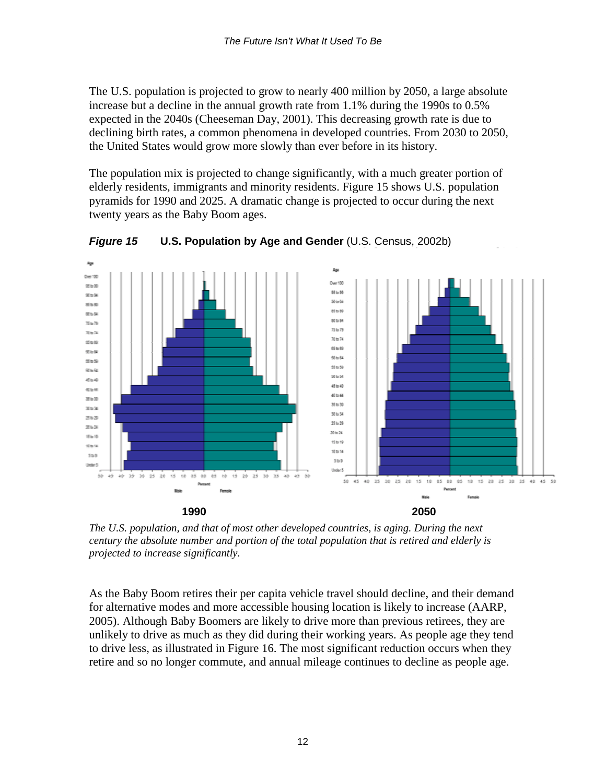The U.S. population is projected to grow to nearly 400 million by 2050, a large absolute increase but a decline in the annual growth rate from 1.1% during the 1990s to 0.5% expected in the 2040s (Cheeseman Day, 2001). This decreasing growth rate is due to declining birth rates, a common phenomena in developed countries. From 2030 to 2050, the United States would grow more slowly than ever before in its history.

The population mix is projected to change significantly, with a much greater portion of elderly residents, immigrants and minority residents. Figure 15 shows U.S. population pyramids for 1990 and 2025. A dramatic change is projected to occur during the next twenty years as the Baby Boom ages.



*Figure 15* **U.S. Population by Age and Gender** (U.S. Census, 2002b)

*The U.S. population, and that of most other developed countries, is aging. During the next century the absolute number and portion of the total population that is retired and elderly is projected to increase significantly.* 

As the Baby Boom retires their per capita vehicle travel should decline, and their demand for alternative modes and more accessible housing location is likely to increase (AARP, 2005). Although Baby Boomers are likely to drive more than previous retirees, they are unlikely to drive as much as they did during their working years. As people age they tend to drive less, as illustrated in Figure 16. The most significant reduction occurs when they retire and so no longer commute, and annual mileage continues to decline as people age.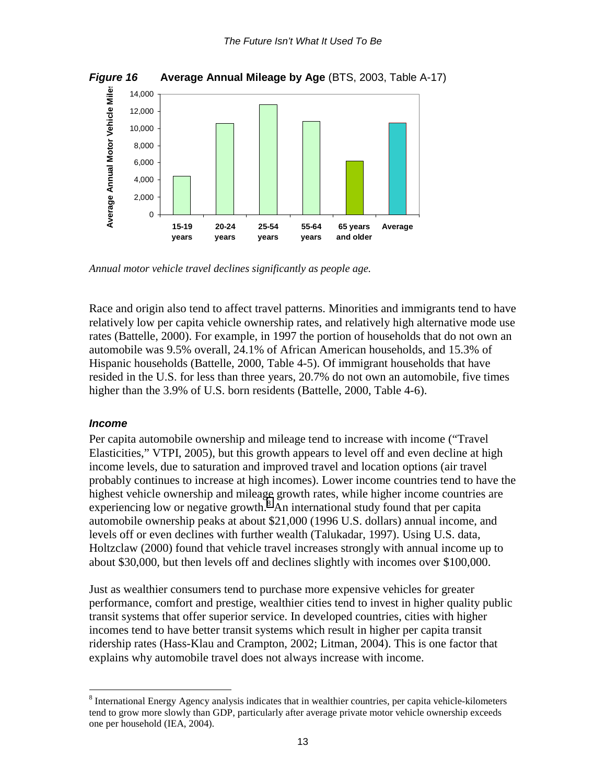<span id="page-13-0"></span>

*Annual motor vehicle travel declines significantly as people age.* 

Race and origin also tend to affect travel patterns. Minorities and immigrants tend to have relatively low per capita vehicle ownership rates, and relatively high alternative mode use rates (Battelle, 2000). For example, in 1997 the portion of households that do not own an automobile was 9.5% overall, 24.1% of African American households, and 15.3% of Hispanic households (Battelle, 2000, Table 4-5). Of immigrant households that have resided in the U.S. for less than three years, 20.7% do not own an automobile, five times higher than the 3.9% of U.S. born residents (Battelle, 2000, Table 4-6).

### *Income*

 $\overline{a}$ 

Per capita automobile ownership and mileage tend to increase with income ("Travel Elasticities," VTPI, 2005), but this growth appears to level off and even decline at high income levels, due to saturation and improved travel and location options (air travel probably continues to increase at high incomes). Lower income countries tend to have the highest vehicle ownership and mileage growth rates, while higher income countries are experiencing low or negative growth. $8$  An international study found that per capita automobile ownership peaks at about \$21,000 (1996 U.S. dollars) annual income, and levels off or even declines with further wealth (Talukadar, 1997). Using U.S. data, Holtzclaw (2000) found that vehicle travel increases strongly with annual income up to about \$30,000, but then levels off and declines slightly with incomes over \$100,000.

Just as wealthier consumers tend to purchase more expensive vehicles for greater performance, comfort and prestige, wealthier cities tend to invest in higher quality public transit systems that offer superior service. In developed countries, cities with higher incomes tend to have better transit systems which result in higher per capita transit ridership rates (Hass-Klau and Crampton, 2002; Litman, 2004). This is one factor that explains why automobile travel does not always increase with income.

<sup>&</sup>lt;sup>8</sup> International Energy Agency analysis indicates that in wealthier countries, per capita vehicle-kilometers tend to grow more slowly than GDP, particularly after average private motor vehicle ownership exceeds one per household (IEA, 2004).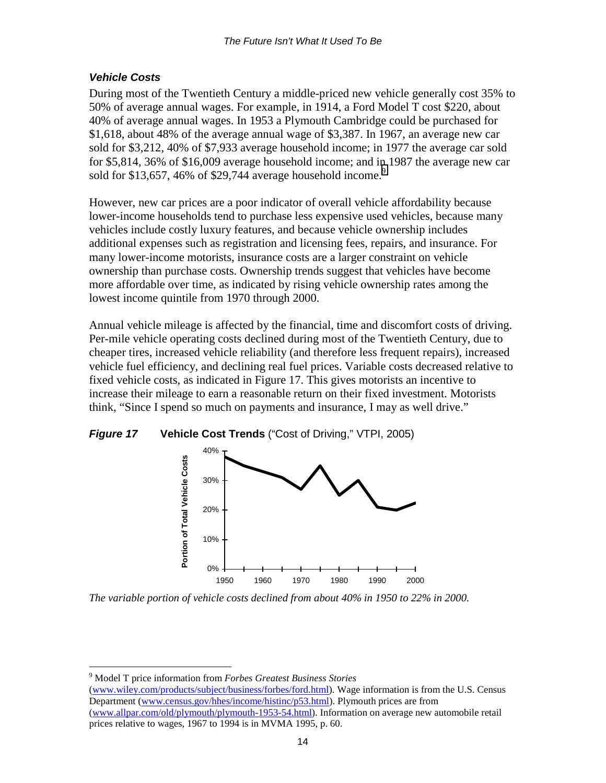### <span id="page-14-0"></span>*Vehicle Costs*

During most of the Twentieth Century a middle-priced new vehicle generally cost 35% to 50% of average annual wages. For example, in 1914, a Ford Model T cost \$220, about 40% of average annual wages. In 1953 a Plymouth Cambridge could be purchased for \$1,618, about 48% of the average annual wage of \$3,387. In 1967, an average new car sold for \$3,212, 40% of \$7,933 average household income; in 1977 the average car sold for \$5,814, 36% of \$16,009 average household income; and in 1987 the average new car sold for \$13,657, 46% of \$29,744 average household income.<sup>9</sup>

However, new car prices are a poor indicator of overall vehicle affordability because lower-income households tend to purchase less expensive used vehicles, because many vehicles include costly luxury features, and because vehicle ownership includes additional expenses such as registration and licensing fees, repairs, and insurance. For many lower-income motorists, insurance costs are a larger constraint on vehicle ownership than purchase costs. Ownership trends suggest that vehicles have become more affordable over time, as indicated by rising vehicle ownership rates among the lowest income quintile from 1970 through 2000.

Annual vehicle mileage is affected by the financial, time and discomfort costs of driving. Per-mile vehicle operating costs declined during most of the Twentieth Century, due to cheaper tires, increased vehicle reliability (and therefore less frequent repairs), increased vehicle fuel efficiency, and declining real fuel prices. Variable costs decreased relative to fixed vehicle costs, as indicated in Figure 17. This gives motorists an incentive to increase their mileage to earn a reasonable return on their fixed investment. Motorists think, "Since I spend so much on payments and insurance, I may as well drive."



*Figure 17* **Vehicle Cost Trends** ("Cost of Driving," VTPI, 2005)

*The variable portion of vehicle costs declined from about 40% in 1950 to 22% in 2000.* 

9 Model T price information from *Forbes Greatest Business Stories*

 $\overline{a}$ 

(www.wiley.com/products/subject/business/forbes/ford.html). Wage information is from the U.S. Census Department (www.census.gov/hhes/income/histinc/p53.html). Plymouth prices are from (www.allpar.com/old/plymouth/plymouth-1953-54.html). Information on average new automobile retail prices relative to wages, 1967 to 1994 is in MVMA 1995, p. 60.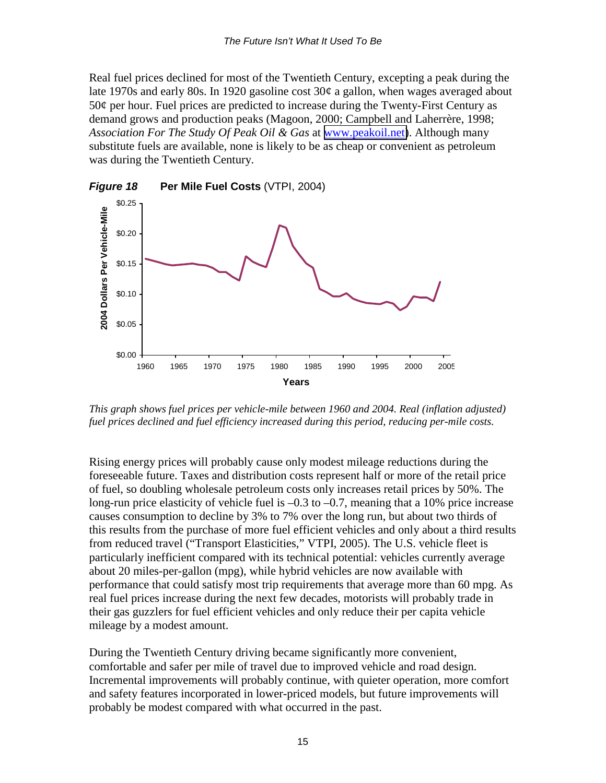Real fuel prices declined for most of the Twentieth Century, excepting a peak during the late 1970s and early 80s. In 1920 gasoline cost  $30¢$  a gallon, when wages averaged about  $50¢$  per hour. Fuel prices are predicted to increase during the Twenty-First Century as demand grows and production peaks (Magoon, 2000; Campbell and Laherrère, 1998; *Association For The Study Of Peak Oil & Gas* at [www.peakoil.net\)](http://www.peakoil.net/). Although many substitute fuels are available, none is likely to be as cheap or convenient as petroleum was during the Twentieth Century.



*This graph shows fuel prices per vehicle-mile between 1960 and 2004. Real (inflation adjusted) fuel prices declined and fuel efficiency increased during this period, reducing per-mile costs.* 

Rising energy prices will probably cause only modest mileage reductions during the foreseeable future. Taxes and distribution costs represent half or more of the retail price of fuel, so doubling wholesale petroleum costs only increases retail prices by 50%. The long-run price elasticity of vehicle fuel is –0.3 to –0.7, meaning that a 10% price increase causes consumption to decline by 3% to 7% over the long run, but about two thirds of this results from the purchase of more fuel efficient vehicles and only about a third results from reduced travel ("Transport Elasticities," VTPI, 2005). The U.S. vehicle fleet is particularly inefficient compared with its technical potential: vehicles currently average about 20 miles-per-gallon (mpg), while hybrid vehicles are now available with performance that could satisfy most trip requirements that average more than 60 mpg. As real fuel prices increase during the next few decades, motorists will probably trade in their gas guzzlers for fuel efficient vehicles and only reduce their per capita vehicle mileage by a modest amount.

During the Twentieth Century driving became significantly more convenient, comfortable and safer per mile of travel due to improved vehicle and road design. Incremental improvements will probably continue, with quieter operation, more comfort and safety features incorporated in lower-priced models, but future improvements will probably be modest compared with what occurred in the past.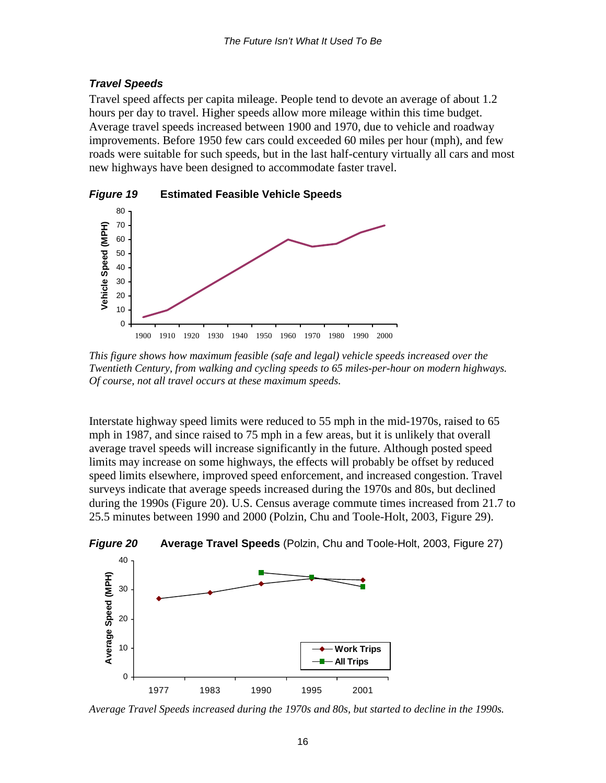#### <span id="page-16-0"></span>*Travel Speeds*

Travel speed affects per capita mileage. People tend to devote an average of about 1.2 hours per day to travel. Higher speeds allow more mileage within this time budget. Average travel speeds increased between 1900 and 1970, due to vehicle and roadway improvements. Before 1950 few cars could exceeded 60 miles per hour (mph), and few roads were suitable for such speeds, but in the last half-century virtually all cars and most new highways have been designed to accommodate faster travel.



*This figure shows how maximum feasible (safe and legal) vehicle speeds increased over the Twentieth Century, from walking and cycling speeds to 65 miles-per-hour on modern highways. Of course, not all travel occurs at these maximum speeds.* 

Interstate highway speed limits were reduced to 55 mph in the mid-1970s, raised to 65 mph in 1987, and since raised to 75 mph in a few areas, but it is unlikely that overall average travel speeds will increase significantly in the future. Although posted speed limits may increase on some highways, the effects will probably be offset by reduced speed limits elsewhere, improved speed enforcement, and increased congestion. Travel surveys indicate that average speeds increased during the 1970s and 80s, but declined during the 1990s (Figure 20). U.S. Census average commute times increased from 21.7 to 25.5 minutes between 1990 and 2000 (Polzin, Chu and Toole-Holt, 2003, Figure 29).



*Figure 20* **Average Travel Speeds** (Polzin, Chu and Toole-Holt, 2003, Figure 27)

*Average Travel Speeds increased during the 1970s and 80s, but started to decline in the 1990s.*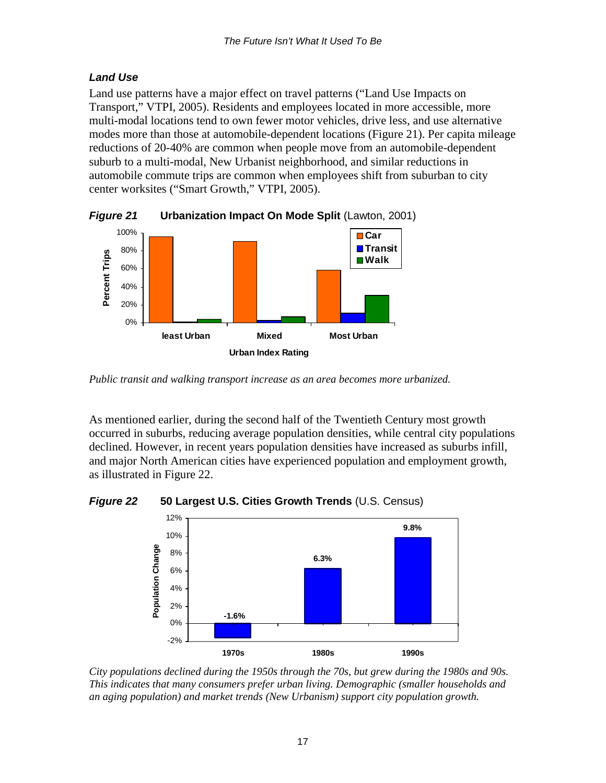## <span id="page-17-0"></span>*Land Use*

Land use patterns have a major effect on travel patterns ("Land Use Impacts on Transport," VTPI, 2005). Residents and employees located in more accessible, more multi-modal locations tend to own fewer motor vehicles, drive less, and use alternative modes more than those at automobile-dependent locations (Figure 21). Per capita mileage reductions of 20-40% are common when people move from an automobile-dependent suburb to a multi-modal, New Urbanist neighborhood, and similar reductions in automobile commute trips are common when employees shift from suburban to city center worksites ("Smart Growth," VTPI, 2005).



*Figure 21* **Urbanization Impact On Mode Split** (Lawton, 2001)

As mentioned earlier, during the second half of the Twentieth Century most growth occurred in suburbs, reducing average population densities, while central city populations declined. However, in recent years population densities have increased as suburbs infill, and major North American cities have experienced population and employment growth, as illustrated in Figure 22.

*Figure 22* **50 Largest U.S. Cities Growth Trends** (U.S. Census)



*City populations declined during the 1950s through the 70s, but grew during the 1980s and 90s. This indicates that many consumers prefer urban living. Demographic (smaller households and an aging population) and market trends (New Urbanism) support city population growth.* 

*Public transit and walking transport increase as an area becomes more urbanized.*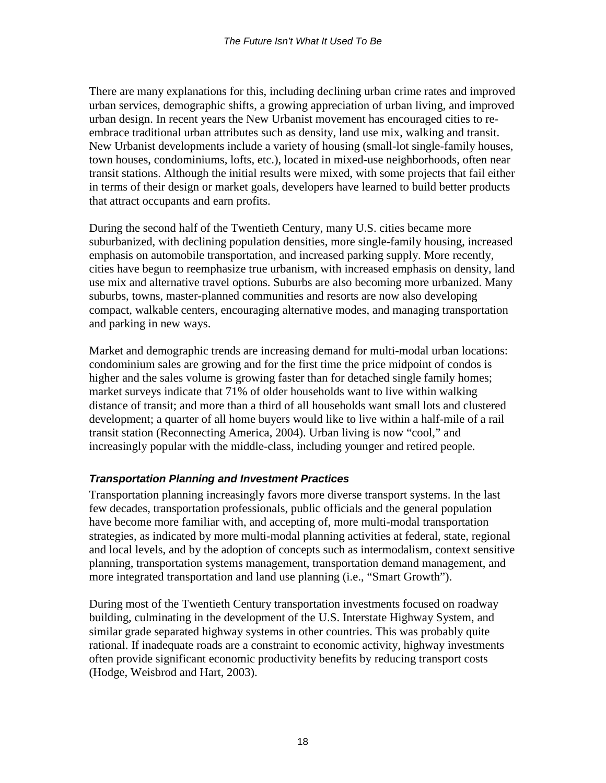<span id="page-18-0"></span>There are many explanations for this, including declining urban crime rates and improved urban services, demographic shifts, a growing appreciation of urban living, and improved urban design. In recent years the New Urbanist movement has encouraged cities to reembrace traditional urban attributes such as density, land use mix, walking and transit. New Urbanist developments include a variety of housing (small-lot single-family houses, town houses, condominiums, lofts, etc.), located in mixed-use neighborhoods, often near transit stations. Although the initial results were mixed, with some projects that fail either in terms of their design or market goals, developers have learned to build better products that attract occupants and earn profits.

During the second half of the Twentieth Century, many U.S. cities became more suburbanized, with declining population densities, more single-family housing, increased emphasis on automobile transportation, and increased parking supply. More recently, cities have begun to reemphasize true urbanism, with increased emphasis on density, land use mix and alternative travel options. Suburbs are also becoming more urbanized. Many suburbs, towns, master-planned communities and resorts are now also developing compact, walkable centers, encouraging alternative modes, and managing transportation and parking in new ways.

Market and demographic trends are increasing demand for multi-modal urban locations: condominium sales are growing and for the first time the price midpoint of condos is higher and the sales volume is growing faster than for detached single family homes; market surveys indicate that 71% of older households want to live within walking distance of transit; and more than a third of all households want small lots and clustered development; a quarter of all home buyers would like to live within a half-mile of a rail transit station (Reconnecting America, 2004). Urban living is now "cool," and increasingly popular with the middle-class, including younger and retired people.

### *Transportation Planning and Investment Practices*

Transportation planning increasingly favors more diverse transport systems. In the last few decades, transportation professionals, public officials and the general population have become more familiar with, and accepting of, more multi-modal transportation strategies, as indicated by more multi-modal planning activities at federal, state, regional and local levels, and by the adoption of concepts such as intermodalism, context sensitive planning, transportation systems management, transportation demand management, and more integrated transportation and land use planning (i.e., "Smart Growth").

During most of the Twentieth Century transportation investments focused on roadway building, culminating in the development of the U.S. Interstate Highway System, and similar grade separated highway systems in other countries. This was probably quite rational. If inadequate roads are a constraint to economic activity, highway investments often provide significant economic productivity benefits by reducing transport costs (Hodge, Weisbrod and Hart, 2003).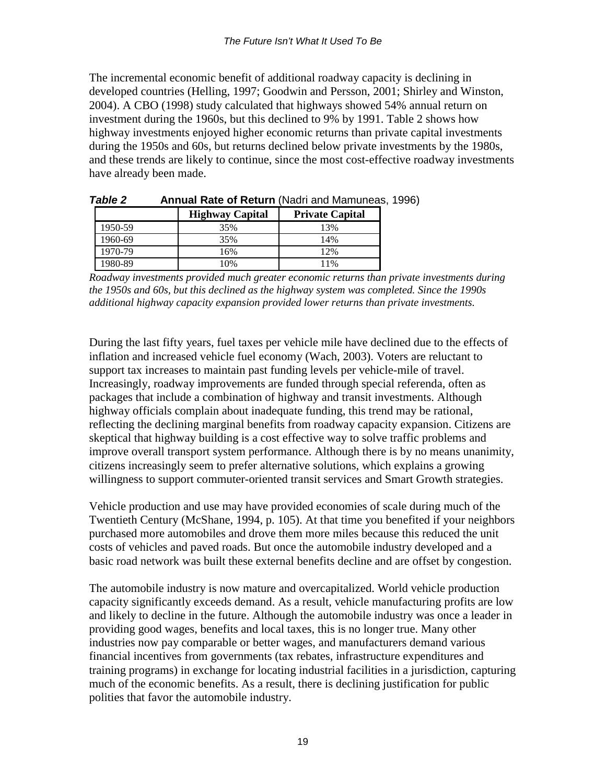The incremental economic benefit of additional roadway capacity is declining in developed countries (Helling, 1997; Goodwin and Persson, 2001; Shirley and Winston, 2004). A CBO (1998) study calculated that highways showed 54% annual return on investment during the 1960s, but this declined to 9% by 1991. Table 2 shows how highway investments enjoyed higher economic returns than private capital investments during the 1950s and 60s, but returns declined below private investments by the 1980s, and these trends are likely to continue, since the most cost-effective roadway investments have already been made.

| TUMIC L | ANINGI INGGO OLINGGONI UNGGO GIIGHALIGI IGAC |                        |
|---------|----------------------------------------------|------------------------|
|         | <b>Highway Capital</b>                       | <b>Private Capital</b> |
| 1950-59 | 35%                                          | 13%                    |
| 1960-69 | 35%                                          | 14%                    |
| 1970-79 | 16%                                          | 12%                    |
| 1980-89 | 10%                                          | 11%                    |

*Table 2* **Annual Rate of Return** (Nadri and Mamuneas, 1996)

*Roadway investments provided much greater economic returns than private investments during the 1950s and 60s, but this declined as the highway system was completed. Since the 1990s additional highway capacity expansion provided lower returns than private investments.* 

During the last fifty years, fuel taxes per vehicle mile have declined due to the effects of inflation and increased vehicle fuel economy (Wach, 2003). Voters are reluctant to support tax increases to maintain past funding levels per vehicle-mile of travel. Increasingly, roadway improvements are funded through special referenda, often as packages that include a combination of highway and transit investments. Although highway officials complain about inadequate funding, this trend may be rational, reflecting the declining marginal benefits from roadway capacity expansion. Citizens are skeptical that highway building is a cost effective way to solve traffic problems and improve overall transport system performance. Although there is by no means unanimity, citizens increasingly seem to prefer alternative solutions, which explains a growing willingness to support commuter-oriented transit services and Smart Growth strategies.

Vehicle production and use may have provided economies of scale during much of the Twentieth Century (McShane, 1994, p. 105). At that time you benefited if your neighbors purchased more automobiles and drove them more miles because this reduced the unit costs of vehicles and paved roads. But once the automobile industry developed and a basic road network was built these external benefits decline and are offset by congestion.

The automobile industry is now mature and overcapitalized. World vehicle production capacity significantly exceeds demand. As a result, vehicle manufacturing profits are low and likely to decline in the future. Although the automobile industry was once a leader in providing good wages, benefits and local taxes, this is no longer true. Many other industries now pay comparable or better wages, and manufacturers demand various financial incentives from governments (tax rebates, infrastructure expenditures and training programs) in exchange for locating industrial facilities in a jurisdiction, capturing much of the economic benefits. As a result, there is declining justification for public polities that favor the automobile industry.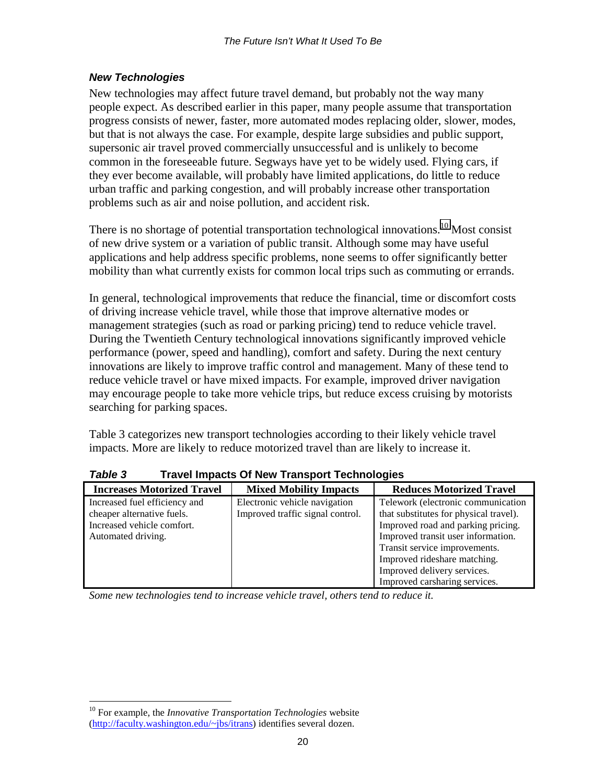### <span id="page-20-0"></span>*New Technologies*

New technologies may affect future travel demand, but probably not the way many people expect. As described earlier in this paper, many people assume that transportation progress consists of newer, faster, more automated modes replacing older, slower, modes, but that is not always the case. For example, despite large subsidies and public support, supersonic air travel proved commercially unsuccessful and is unlikely to become common in the foreseeable future. Segways have yet to be widely used. Flying cars, if they ever become available, will probably have limited applications, do little to reduce urban traffic and parking congestion, and will probably increase other transportation problems such as air and noise pollution, and accident risk.

There is no shortage of potential transportation technological innovations.<sup>10</sup> Most consist of new drive system or a variation of public transit. Although some may have useful applications and help address specific problems, none seems to offer significantly better mobility than what currently exists for common local trips such as commuting or errands.

In general, technological improvements that reduce the financial, time or discomfort costs of driving increase vehicle travel, while those that improve alternative modes or management strategies (such as road or parking pricing) tend to reduce vehicle travel. During the Twentieth Century technological innovations significantly improved vehicle performance (power, speed and handling), comfort and safety. During the next century innovations are likely to improve traffic control and management. Many of these tend to reduce vehicle travel or have mixed impacts. For example, improved driver navigation may encourage people to take more vehicle trips, but reduce excess cruising by motorists searching for parking spaces.

Table 3 categorizes new transport technologies according to their likely vehicle travel impacts. More are likely to reduce motorized travel than are likely to increase it.

| <b>Increases Motorized Travel</b> | <b>Mixed Mobility Impacts</b>    | <b>Reduces Motorized Travel</b>        |
|-----------------------------------|----------------------------------|----------------------------------------|
| Increased fuel efficiency and     | Electronic vehicle navigation    | Telework (electronic communication     |
| cheaper alternative fuels.        | Improved traffic signal control. | that substitutes for physical travel). |
| Increased vehicle comfort.        |                                  | Improved road and parking pricing.     |
| Automated driving.                |                                  | Improved transit user information.     |
|                                   |                                  | Transit service improvements.          |
|                                   |                                  | Improved rideshare matching.           |
|                                   |                                  | Improved delivery services.            |
|                                   |                                  | Improved carsharing services.          |

*Table 3* **Travel Impacts Of New Transport Technologies** 

*Some new technologies tend to increase vehicle travel, others tend to reduce it.* 

 $\overline{a}$ 

<sup>10</sup> For example, the *Innovative Transportation Technologies* website (http://faculty.washington.edu/~jbs/itrans) identifies several dozen.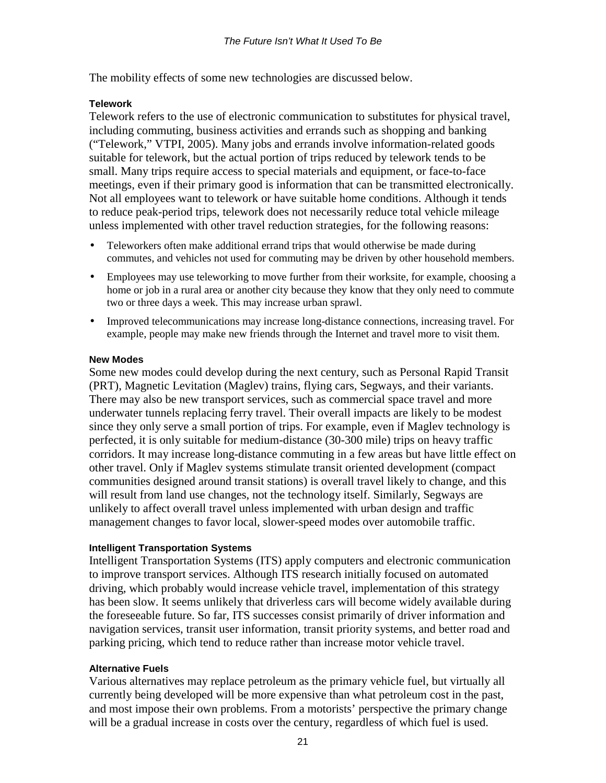The mobility effects of some new technologies are discussed below.

#### **Telework**

Telework refers to the use of electronic communication to substitutes for physical travel, including commuting, business activities and errands such as shopping and banking ("Telework," VTPI, 2005). Many jobs and errands involve information-related goods suitable for telework, but the actual portion of trips reduced by telework tends to be small. Many trips require access to special materials and equipment, or face-to-face meetings, even if their primary good is information that can be transmitted electronically. Not all employees want to telework or have suitable home conditions. Although it tends to reduce peak-period trips, telework does not necessarily reduce total vehicle mileage unless implemented with other travel reduction strategies, for the following reasons:

- Teleworkers often make additional errand trips that would otherwise be made during commutes, and vehicles not used for commuting may be driven by other household members.
- Employees may use teleworking to move further from their worksite, for example, choosing a home or job in a rural area or another city because they know that they only need to commute two or three days a week. This may increase urban sprawl.
- Improved telecommunications may increase long-distance connections, increasing travel. For example, people may make new friends through the Internet and travel more to visit them.

#### **New Modes**

Some new modes could develop during the next century, such as Personal Rapid Transit (PRT), Magnetic Levitation (Maglev) trains, flying cars, Segways, and their variants. There may also be new transport services, such as commercial space travel and more underwater tunnels replacing ferry travel. Their overall impacts are likely to be modest since they only serve a small portion of trips. For example, even if Maglev technology is perfected, it is only suitable for medium-distance (30-300 mile) trips on heavy traffic corridors. It may increase long-distance commuting in a few areas but have little effect on other travel. Only if Maglev systems stimulate transit oriented development (compact communities designed around transit stations) is overall travel likely to change, and this will result from land use changes, not the technology itself. Similarly, Segways are unlikely to affect overall travel unless implemented with urban design and traffic management changes to favor local, slower-speed modes over automobile traffic.

#### **Intelligent Transportation Systems**

Intelligent Transportation Systems (ITS) apply computers and electronic communication to improve transport services. Although ITS research initially focused on automated driving, which probably would increase vehicle travel, implementation of this strategy has been slow. It seems unlikely that driverless cars will become widely available during the foreseeable future. So far, ITS successes consist primarily of driver information and navigation services, transit user information, transit priority systems, and better road and parking pricing, which tend to reduce rather than increase motor vehicle travel.

#### **Alternative Fuels**

Various alternatives may replace petroleum as the primary vehicle fuel, but virtually all currently being developed will be more expensive than what petroleum cost in the past, and most impose their own problems. From a motorists' perspective the primary change will be a gradual increase in costs over the century, regardless of which fuel is used.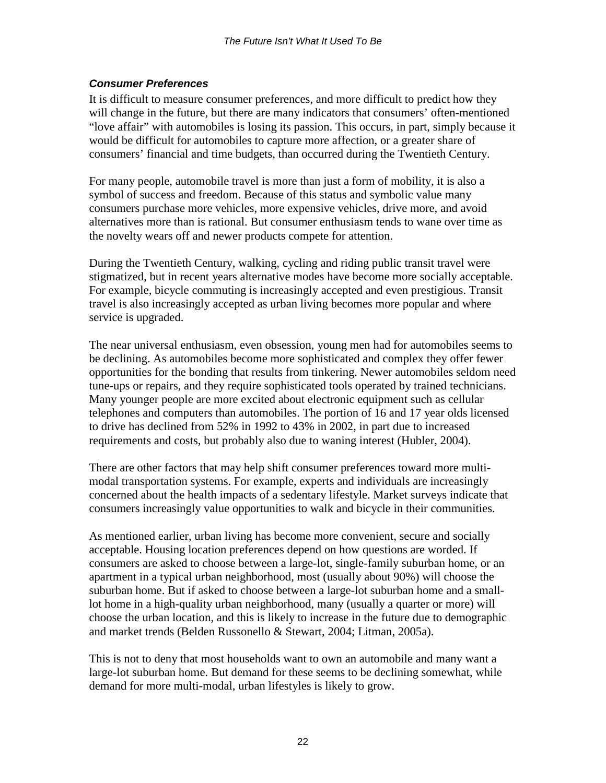### <span id="page-22-0"></span>*Consumer Preferences*

It is difficult to measure consumer preferences, and more difficult to predict how they will change in the future, but there are many indicators that consumers' often-mentioned "love affair" with automobiles is losing its passion. This occurs, in part, simply because it would be difficult for automobiles to capture more affection, or a greater share of consumers' financial and time budgets, than occurred during the Twentieth Century.

For many people, automobile travel is more than just a form of mobility, it is also a symbol of success and freedom. Because of this status and symbolic value many consumers purchase more vehicles, more expensive vehicles, drive more, and avoid alternatives more than is rational. But consumer enthusiasm tends to wane over time as the novelty wears off and newer products compete for attention.

During the Twentieth Century, walking, cycling and riding public transit travel were stigmatized, but in recent years alternative modes have become more socially acceptable. For example, bicycle commuting is increasingly accepted and even prestigious. Transit travel is also increasingly accepted as urban living becomes more popular and where service is upgraded.

The near universal enthusiasm, even obsession, young men had for automobiles seems to be declining. As automobiles become more sophisticated and complex they offer fewer opportunities for the bonding that results from tinkering. Newer automobiles seldom need tune-ups or repairs, and they require sophisticated tools operated by trained technicians. Many younger people are more excited about electronic equipment such as cellular telephones and computers than automobiles. The portion of 16 and 17 year olds licensed to drive has declined from 52% in 1992 to 43% in 2002, in part due to increased requirements and costs, but probably also due to waning interest (Hubler, 2004).

There are other factors that may help shift consumer preferences toward more multimodal transportation systems. For example, experts and individuals are increasingly concerned about the health impacts of a sedentary lifestyle. Market surveys indicate that consumers increasingly value opportunities to walk and bicycle in their communities.

As mentioned earlier, urban living has become more convenient, secure and socially acceptable. Housing location preferences depend on how questions are worded. If consumers are asked to choose between a large-lot, single-family suburban home, or an apartment in a typical urban neighborhood, most (usually about 90%) will choose the suburban home. But if asked to choose between a large-lot suburban home and a smalllot home in a high-quality urban neighborhood, many (usually a quarter or more) will choose the urban location, and this is likely to increase in the future due to demographic and market trends (Belden Russonello & Stewart, 2004; Litman, 2005a).

This is not to deny that most households want to own an automobile and many want a large-lot suburban home. But demand for these seems to be declining somewhat, while demand for more multi-modal, urban lifestyles is likely to grow.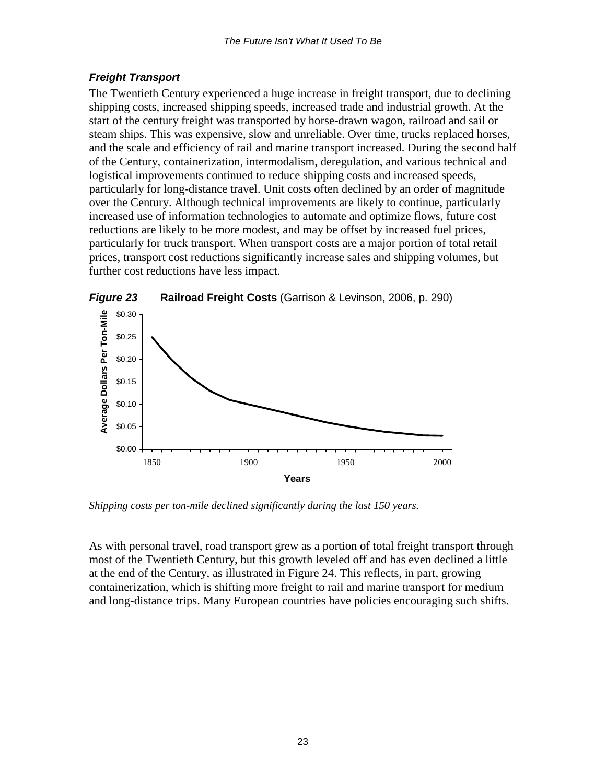## <span id="page-23-0"></span>*Freight Transport*

The Twentieth Century experienced a huge increase in freight transport, due to declining shipping costs, increased shipping speeds, increased trade and industrial growth. At the start of the century freight was transported by horse-drawn wagon, railroad and sail or steam ships. This was expensive, slow and unreliable. Over time, trucks replaced horses, and the scale and efficiency of rail and marine transport increased. During the second half of the Century, containerization, intermodalism, deregulation, and various technical and logistical improvements continued to reduce shipping costs and increased speeds, particularly for long-distance travel. Unit costs often declined by an order of magnitude over the Century. Although technical improvements are likely to continue, particularly increased use of information technologies to automate and optimize flows, future cost reductions are likely to be more modest, and may be offset by increased fuel prices, particularly for truck transport. When transport costs are a major portion of total retail prices, transport cost reductions significantly increase sales and shipping volumes, but further cost reductions have less impact.



*Figure 23* **Railroad Freight Costs** (Garrison & Levinson, 2006, p. 290)

*Shipping costs per ton-mile declined significantly during the last 150 years.* 

As with personal travel, road transport grew as a portion of total freight transport through most of the Twentieth Century, but this growth leveled off and has even declined a little at the end of the Century, as illustrated in Figure 24. This reflects, in part, growing containerization, which is shifting more freight to rail and marine transport for medium and long-distance trips. Many European countries have policies encouraging such shifts.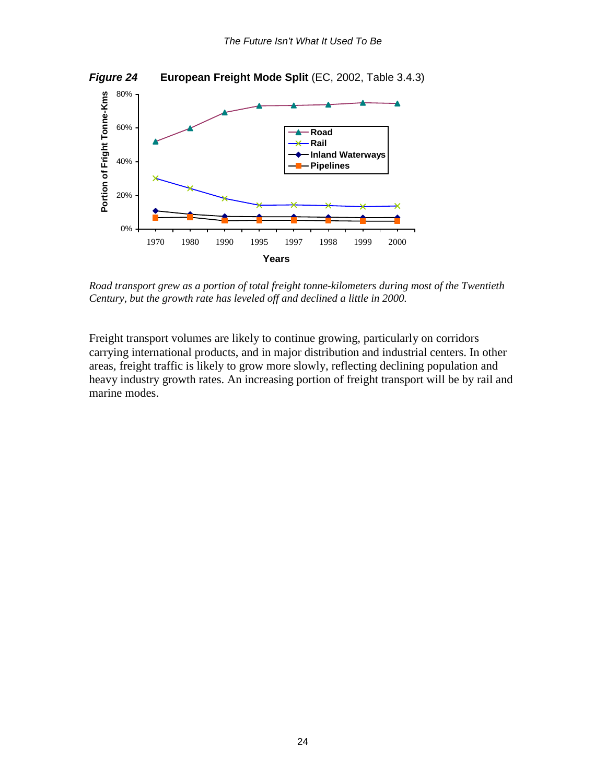

*Road transport grew as a portion of total freight tonne-kilometers during most of the Twentieth Century, but the growth rate has leveled off and declined a little in 2000.* 

Freight transport volumes are likely to continue growing, particularly on corridors carrying international products, and in major distribution and industrial centers. In other areas, freight traffic is likely to grow more slowly, reflecting declining population and heavy industry growth rates. An increasing portion of freight transport will be by rail and marine modes.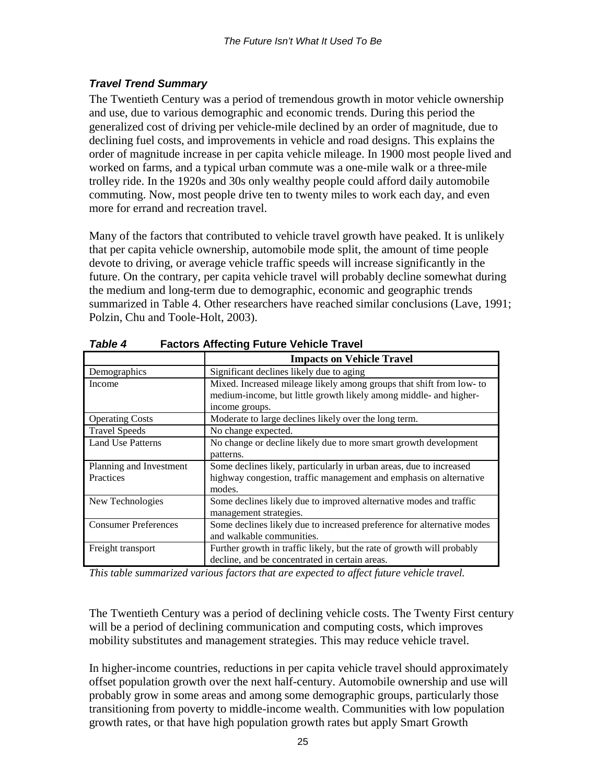## <span id="page-25-0"></span>*Travel Trend Summary*

The Twentieth Century was a period of tremendous growth in motor vehicle ownership and use, due to various demographic and economic trends. During this period the generalized cost of driving per vehicle-mile declined by an order of magnitude, due to declining fuel costs, and improvements in vehicle and road designs. This explains the order of magnitude increase in per capita vehicle mileage. In 1900 most people lived and worked on farms, and a typical urban commute was a one-mile walk or a three-mile trolley ride. In the 1920s and 30s only wealthy people could afford daily automobile commuting. Now, most people drive ten to twenty miles to work each day, and even more for errand and recreation travel.

Many of the factors that contributed to vehicle travel growth have peaked. It is unlikely that per capita vehicle ownership, automobile mode split, the amount of time people devote to driving, or average vehicle traffic speeds will increase significantly in the future. On the contrary, per capita vehicle travel will probably decline somewhat during the medium and long-term due to demographic, economic and geographic trends summarized in Table 4. Other researchers have reached similar conclusions (Lave, 1991; Polzin, Chu and Toole-Holt, 2003).

|                             | <b>Impacts on Vehicle Travel</b>                                       |
|-----------------------------|------------------------------------------------------------------------|
| Demographics                | Significant declines likely due to aging                               |
| Income                      | Mixed. Increased mileage likely among groups that shift from low- to   |
|                             | medium-income, but little growth likely among middle- and higher-      |
|                             | income groups.                                                         |
| <b>Operating Costs</b>      | Moderate to large declines likely over the long term.                  |
| <b>Travel Speeds</b>        | No change expected.                                                    |
| <b>Land Use Patterns</b>    | No change or decline likely due to more smart growth development       |
|                             | patterns.                                                              |
| Planning and Investment     | Some declines likely, particularly in urban areas, due to increased    |
| Practices                   | highway congestion, traffic management and emphasis on alternative     |
|                             | modes.                                                                 |
| New Technologies            | Some declines likely due to improved alternative modes and traffic     |
|                             | management strategies.                                                 |
| <b>Consumer Preferences</b> | Some declines likely due to increased preference for alternative modes |
|                             | and walkable communities.                                              |
| Freight transport           | Further growth in traffic likely, but the rate of growth will probably |
|                             | decline, and be concentrated in certain areas.                         |

*Table 4* **Factors Affecting Future Vehicle Travel** 

*This table summarized various factors that are expected to affect future vehicle travel.* 

The Twentieth Century was a period of declining vehicle costs. The Twenty First century will be a period of declining communication and computing costs, which improves mobility substitutes and management strategies. This may reduce vehicle travel.

In higher-income countries, reductions in per capita vehicle travel should approximately offset population growth over the next half-century. Automobile ownership and use will probably grow in some areas and among some demographic groups, particularly those transitioning from poverty to middle-income wealth. Communities with low population growth rates, or that have high population growth rates but apply Smart Growth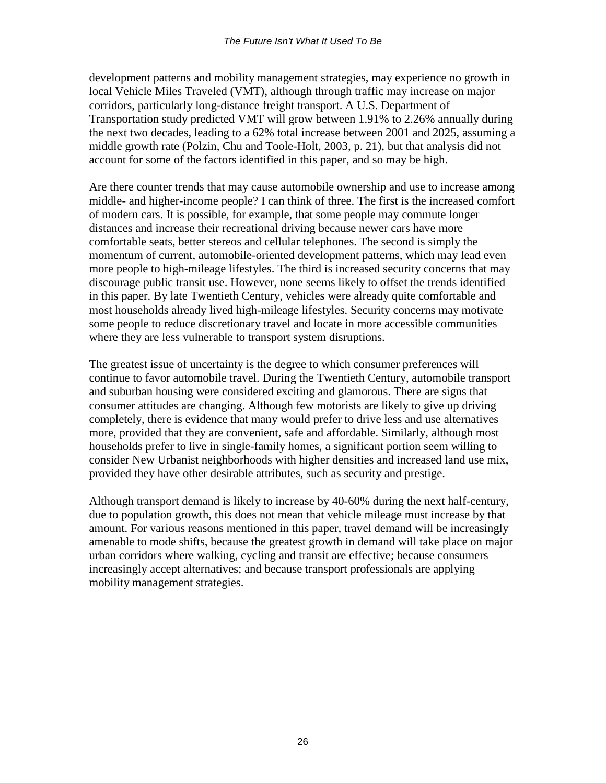development patterns and mobility management strategies, may experience no growth in local Vehicle Miles Traveled (VMT), although through traffic may increase on major corridors, particularly long-distance freight transport. A U.S. Department of Transportation study predicted VMT will grow between 1.91% to 2.26% annually during the next two decades, leading to a 62% total increase between 2001 and 2025, assuming a middle growth rate (Polzin, Chu and Toole-Holt, 2003, p. 21), but that analysis did not account for some of the factors identified in this paper, and so may be high.

Are there counter trends that may cause automobile ownership and use to increase among middle- and higher-income people? I can think of three. The first is the increased comfort of modern cars. It is possible, for example, that some people may commute longer distances and increase their recreational driving because newer cars have more comfortable seats, better stereos and cellular telephones. The second is simply the momentum of current, automobile-oriented development patterns, which may lead even more people to high-mileage lifestyles. The third is increased security concerns that may discourage public transit use. However, none seems likely to offset the trends identified in this paper. By late Twentieth Century, vehicles were already quite comfortable and most households already lived high-mileage lifestyles. Security concerns may motivate some people to reduce discretionary travel and locate in more accessible communities where they are less vulnerable to transport system disruptions.

The greatest issue of uncertainty is the degree to which consumer preferences will continue to favor automobile travel. During the Twentieth Century, automobile transport and suburban housing were considered exciting and glamorous. There are signs that consumer attitudes are changing. Although few motorists are likely to give up driving completely, there is evidence that many would prefer to drive less and use alternatives more, provided that they are convenient, safe and affordable. Similarly, although most households prefer to live in single-family homes, a significant portion seem willing to consider New Urbanist neighborhoods with higher densities and increased land use mix, provided they have other desirable attributes, such as security and prestige.

Although transport demand is likely to increase by 40-60% during the next half-century, due to population growth, this does not mean that vehicle mileage must increase by that amount. For various reasons mentioned in this paper, travel demand will be increasingly amenable to mode shifts, because the greatest growth in demand will take place on major urban corridors where walking, cycling and transit are effective; because consumers increasingly accept alternatives; and because transport professionals are applying mobility management strategies.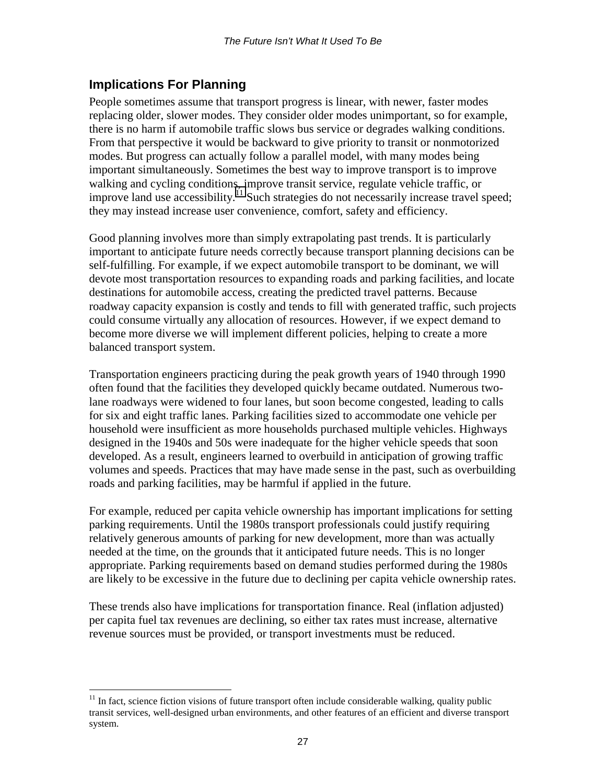## <span id="page-27-0"></span>**Implications For Planning**

People sometimes assume that transport progress is linear, with newer, faster modes replacing older, slower modes. They consider older modes unimportant, so for example, there is no harm if automobile traffic slows bus service or degrades walking conditions. From that perspective it would be backward to give priority to transit or nonmotorized modes. But progress can actually follow a parallel model, with many modes being important simultaneously. Sometimes the best way to improve transport is to improve walking and cycling conditions, improve transit service, regulate vehicle traffic, or improve land use accessibility.<sup>11</sup> Such strategies do not necessarily increase travel speed; they may instead increase user convenience, comfort, safety and efficiency.

Good planning involves more than simply extrapolating past trends. It is particularly important to anticipate future needs correctly because transport planning decisions can be self-fulfilling. For example, if we expect automobile transport to be dominant, we will devote most transportation resources to expanding roads and parking facilities, and locate destinations for automobile access, creating the predicted travel patterns. Because roadway capacity expansion is costly and tends to fill with generated traffic, such projects could consume virtually any allocation of resources. However, if we expect demand to become more diverse we will implement different policies, helping to create a more balanced transport system.

Transportation engineers practicing during the peak growth years of 1940 through 1990 often found that the facilities they developed quickly became outdated. Numerous twolane roadways were widened to four lanes, but soon become congested, leading to calls for six and eight traffic lanes. Parking facilities sized to accommodate one vehicle per household were insufficient as more households purchased multiple vehicles. Highways designed in the 1940s and 50s were inadequate for the higher vehicle speeds that soon developed. As a result, engineers learned to overbuild in anticipation of growing traffic volumes and speeds. Practices that may have made sense in the past, such as overbuilding roads and parking facilities, may be harmful if applied in the future.

For example, reduced per capita vehicle ownership has important implications for setting parking requirements. Until the 1980s transport professionals could justify requiring relatively generous amounts of parking for new development, more than was actually needed at the time, on the grounds that it anticipated future needs. This is no longer appropriate. Parking requirements based on demand studies performed during the 1980s are likely to be excessive in the future due to declining per capita vehicle ownership rates.

These trends also have implications for transportation finance. Real (inflation adjusted) per capita fuel tax revenues are declining, so either tax rates must increase, alternative revenue sources must be provided, or transport investments must be reduced.

 $\overline{a}$  $11$  In fact, science fiction visions of future transport often include considerable walking, quality public transit services, well-designed urban environments, and other features of an efficient and diverse transport system.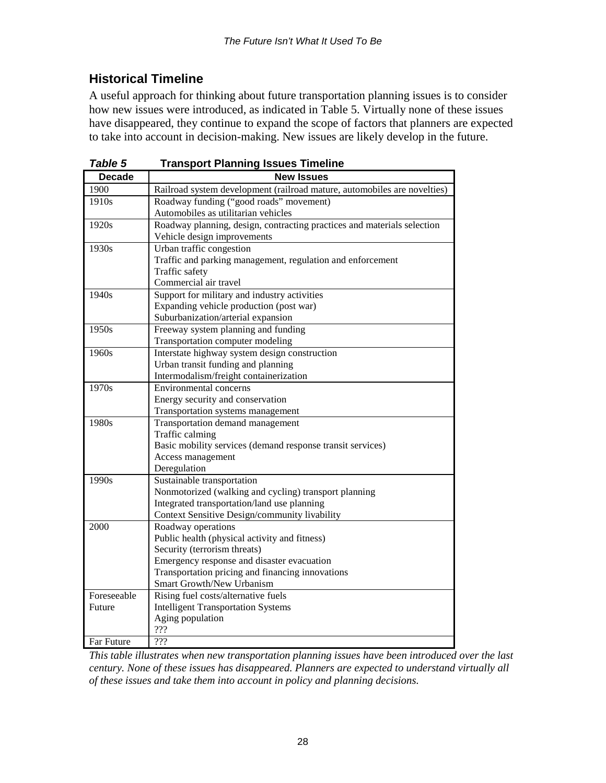## **Historical Timeline**

A useful approach for thinking about future transportation planning issues is to consider how new issues were introduced, as indicated in Table 5. Virtually none of these issues have disappeared, they continue to expand the scope of factors that planners are expected to take into account in decision-making. New issues are likely develop in the future.

| Table 5       | <b>Transport Planning Issues Timeline</b>                                |
|---------------|--------------------------------------------------------------------------|
| <b>Decade</b> | <b>New Issues</b>                                                        |
| 1900          | Railroad system development (railroad mature, automobiles are novelties) |
| 1910s         | Roadway funding ("good roads" movement)                                  |
|               | Automobiles as utilitarian vehicles                                      |
| 1920s         | Roadway planning, design, contracting practices and materials selection  |
|               | Vehicle design improvements                                              |
| 1930s         | Urban traffic congestion                                                 |
|               | Traffic and parking management, regulation and enforcement               |
|               | Traffic safety                                                           |
|               | Commercial air travel                                                    |
| 1940s         | Support for military and industry activities                             |
|               | Expanding vehicle production (post war)                                  |
|               | Suburbanization/arterial expansion                                       |
| 1950s         | Freeway system planning and funding                                      |
|               | Transportation computer modeling                                         |
| 1960s         | Interstate highway system design construction                            |
|               | Urban transit funding and planning                                       |
|               | Intermodalism/freight containerization                                   |
| 1970s         | Environmental concerns                                                   |
|               | Energy security and conservation                                         |
|               | Transportation systems management                                        |
| 1980s         | Transportation demand management                                         |
|               | Traffic calming                                                          |
|               | Basic mobility services (demand response transit services)               |
|               | Access management                                                        |
|               | Deregulation                                                             |
| 1990s         | Sustainable transportation                                               |
|               | Nonmotorized (walking and cycling) transport planning                    |
|               | Integrated transportation/land use planning                              |
|               | Context Sensitive Design/community livability                            |
| 2000          | Roadway operations                                                       |
|               | Public health (physical activity and fitness)                            |
|               | Security (terrorism threats)                                             |
|               | Emergency response and disaster evacuation                               |
|               | Transportation pricing and financing innovations                         |
|               | Smart Growth/New Urbanism                                                |
| Foreseeable   | Rising fuel costs/alternative fuels                                      |
| Future        | <b>Intelligent Transportation Systems</b>                                |
|               | Aging population<br>???                                                  |
| Far Future    | ???                                                                      |
|               |                                                                          |

*This table illustrates when new transportation planning issues have been introduced over the last century. None of these issues has disappeared. Planners are expected to understand virtually all of these issues and take them into account in policy and planning decisions.*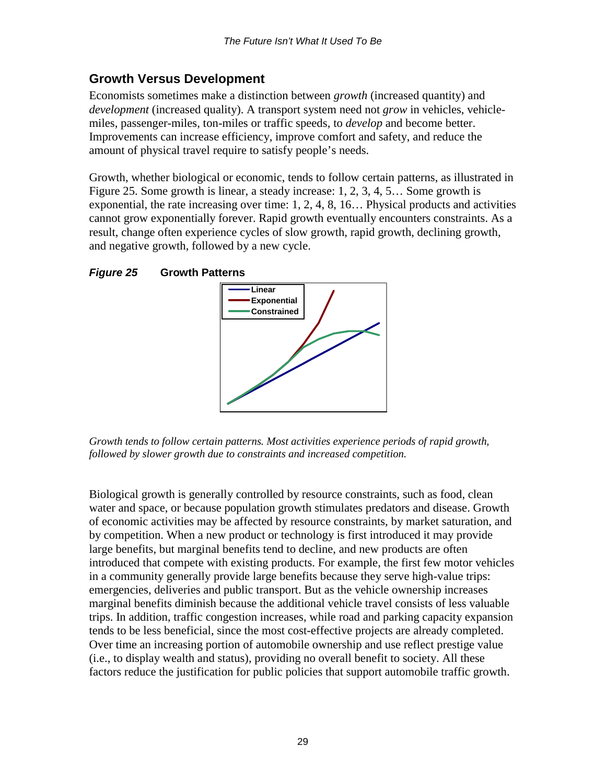## <span id="page-29-0"></span>**Growth Versus Development**

Economists sometimes make a distinction between *growth* (increased quantity) and *development* (increased quality). A transport system need not *grow* in vehicles, vehiclemiles, passenger-miles, ton-miles or traffic speeds, to *develop* and become better. Improvements can increase efficiency, improve comfort and safety, and reduce the amount of physical travel require to satisfy people's needs.

Growth, whether biological or economic, tends to follow certain patterns, as illustrated in Figure 25. Some growth is linear, a steady increase: 1, 2, 3, 4, 5… Some growth is exponential, the rate increasing over time: 1, 2, 4, 8, 16… Physical products and activities cannot grow exponentially forever. Rapid growth eventually encounters constraints. As a result, change often experience cycles of slow growth, rapid growth, declining growth, and negative growth, followed by a new cycle.

#### *Figure 25* **Growth Patterns**



*Growth tends to follow certain patterns. Most activities experience periods of rapid growth, followed by slower growth due to constraints and increased competition.* 

Biological growth is generally controlled by resource constraints, such as food, clean water and space, or because population growth stimulates predators and disease. Growth of economic activities may be affected by resource constraints, by market saturation, and by competition. When a new product or technology is first introduced it may provide large benefits, but marginal benefits tend to decline, and new products are often introduced that compete with existing products. For example, the first few motor vehicles in a community generally provide large benefits because they serve high-value trips: emergencies, deliveries and public transport. But as the vehicle ownership increases marginal benefits diminish because the additional vehicle travel consists of less valuable trips. In addition, traffic congestion increases, while road and parking capacity expansion tends to be less beneficial, since the most cost-effective projects are already completed. Over time an increasing portion of automobile ownership and use reflect prestige value (i.e., to display wealth and status), providing no overall benefit to society. All these factors reduce the justification for public policies that support automobile traffic growth.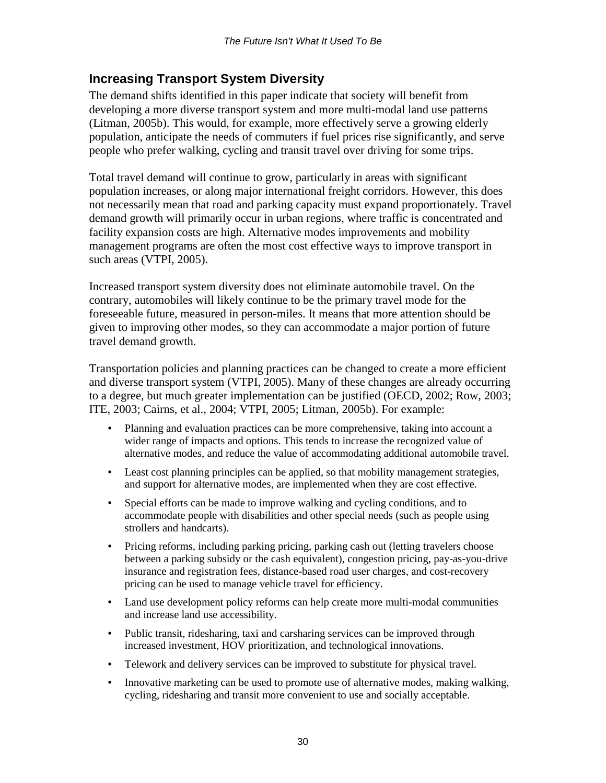## <span id="page-30-0"></span>**Increasing Transport System Diversity**

The demand shifts identified in this paper indicate that society will benefit from developing a more diverse transport system and more multi-modal land use patterns (Litman, 2005b). This would, for example, more effectively serve a growing elderly population, anticipate the needs of commuters if fuel prices rise significantly, and serve people who prefer walking, cycling and transit travel over driving for some trips.

Total travel demand will continue to grow, particularly in areas with significant population increases, or along major international freight corridors. However, this does not necessarily mean that road and parking capacity must expand proportionately. Travel demand growth will primarily occur in urban regions, where traffic is concentrated and facility expansion costs are high. Alternative modes improvements and mobility management programs are often the most cost effective ways to improve transport in such areas (VTPI, 2005).

Increased transport system diversity does not eliminate automobile travel. On the contrary, automobiles will likely continue to be the primary travel mode for the foreseeable future, measured in person-miles. It means that more attention should be given to improving other modes, so they can accommodate a major portion of future travel demand growth.

Transportation policies and planning practices can be changed to create a more efficient and diverse transport system (VTPI, 2005). Many of these changes are already occurring to a degree, but much greater implementation can be justified (OECD, 2002; Row, 2003; ITE, 2003; Cairns, et al., 2004; VTPI, 2005; Litman, 2005b). For example:

- Planning and evaluation practices can be more comprehensive, taking into account a wider range of impacts and options. This tends to increase the recognized value of alternative modes, and reduce the value of accommodating additional automobile travel.
- Least cost planning principles can be applied, so that mobility management strategies, and support for alternative modes, are implemented when they are cost effective.
- Special efforts can be made to improve walking and cycling conditions, and to accommodate people with disabilities and other special needs (such as people using strollers and handcarts).
- Pricing reforms, including parking pricing, parking cash out (letting travelers choose between a parking subsidy or the cash equivalent), congestion pricing, pay-as-you-drive insurance and registration fees, distance-based road user charges, and cost-recovery pricing can be used to manage vehicle travel for efficiency.
- Land use development policy reforms can help create more multi-modal communities and increase land use accessibility.
- Public transit, ridesharing, taxi and carsharing services can be improved through increased investment, HOV prioritization, and technological innovations.
- Telework and delivery services can be improved to substitute for physical travel.
- Innovative marketing can be used to promote use of alternative modes, making walking, cycling, ridesharing and transit more convenient to use and socially acceptable.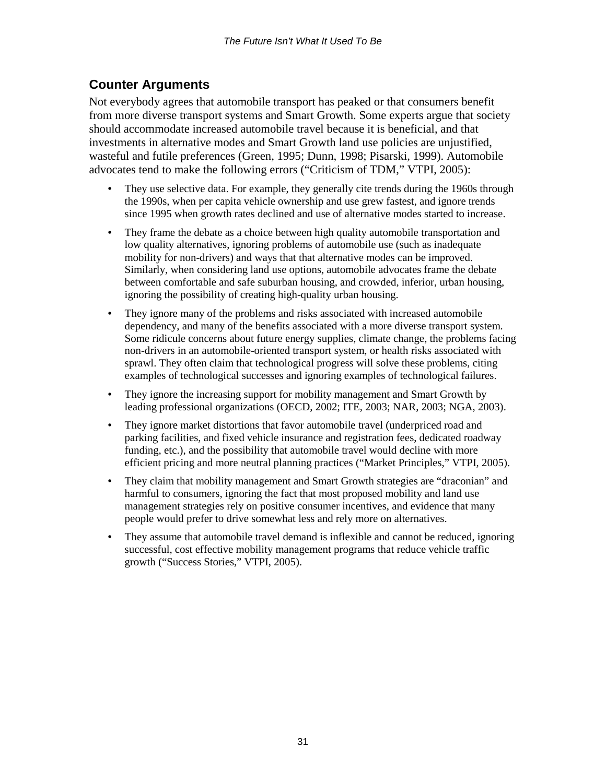## <span id="page-31-0"></span>**Counter Arguments**

Not everybody agrees that automobile transport has peaked or that consumers benefit from more diverse transport systems and Smart Growth. Some experts argue that society should accommodate increased automobile travel because it is beneficial, and that investments in alternative modes and Smart Growth land use policies are unjustified, wasteful and futile preferences (Green, 1995; Dunn, 1998; Pisarski, 1999). Automobile advocates tend to make the following errors ("Criticism of TDM," VTPI, 2005):

- They use selective data. For example, they generally cite trends during the 1960s through the 1990s, when per capita vehicle ownership and use grew fastest, and ignore trends since 1995 when growth rates declined and use of alternative modes started to increase.
- They frame the debate as a choice between high quality automobile transportation and low quality alternatives, ignoring problems of automobile use (such as inadequate mobility for non-drivers) and ways that that alternative modes can be improved. Similarly, when considering land use options, automobile advocates frame the debate between comfortable and safe suburban housing, and crowded, inferior, urban housing, ignoring the possibility of creating high-quality urban housing.
- They ignore many of the problems and risks associated with increased automobile dependency, and many of the benefits associated with a more diverse transport system. Some ridicule concerns about future energy supplies, climate change, the problems facing non-drivers in an automobile-oriented transport system, or health risks associated with sprawl. They often claim that technological progress will solve these problems, citing examples of technological successes and ignoring examples of technological failures.
- They ignore the increasing support for mobility management and Smart Growth by leading professional organizations (OECD, 2002; ITE, 2003; NAR, 2003; NGA, 2003).
- They ignore market distortions that favor automobile travel (underpriced road and parking facilities, and fixed vehicle insurance and registration fees, dedicated roadway funding, etc.), and the possibility that automobile travel would decline with more efficient pricing and more neutral planning practices ("Market Principles," VTPI, 2005).
- They claim that mobility management and Smart Growth strategies are "draconian" and harmful to consumers, ignoring the fact that most proposed mobility and land use management strategies rely on positive consumer incentives, and evidence that many people would prefer to drive somewhat less and rely more on alternatives.
- They assume that automobile travel demand is inflexible and cannot be reduced, ignoring successful, cost effective mobility management programs that reduce vehicle traffic growth ("Success Stories," VTPI, 2005).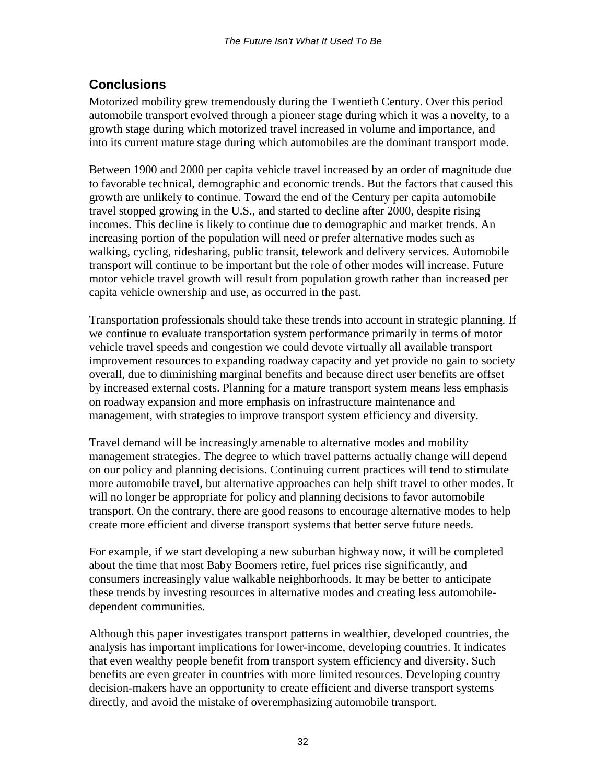## <span id="page-32-0"></span>**Conclusions**

Motorized mobility grew tremendously during the Twentieth Century. Over this period automobile transport evolved through a pioneer stage during which it was a novelty, to a growth stage during which motorized travel increased in volume and importance, and into its current mature stage during which automobiles are the dominant transport mode.

Between 1900 and 2000 per capita vehicle travel increased by an order of magnitude due to favorable technical, demographic and economic trends. But the factors that caused this growth are unlikely to continue. Toward the end of the Century per capita automobile travel stopped growing in the U.S., and started to decline after 2000, despite rising incomes. This decline is likely to continue due to demographic and market trends. An increasing portion of the population will need or prefer alternative modes such as walking, cycling, ridesharing, public transit, telework and delivery services. Automobile transport will continue to be important but the role of other modes will increase. Future motor vehicle travel growth will result from population growth rather than increased per capita vehicle ownership and use, as occurred in the past.

Transportation professionals should take these trends into account in strategic planning. If we continue to evaluate transportation system performance primarily in terms of motor vehicle travel speeds and congestion we could devote virtually all available transport improvement resources to expanding roadway capacity and yet provide no gain to society overall, due to diminishing marginal benefits and because direct user benefits are offset by increased external costs. Planning for a mature transport system means less emphasis on roadway expansion and more emphasis on infrastructure maintenance and management, with strategies to improve transport system efficiency and diversity.

Travel demand will be increasingly amenable to alternative modes and mobility management strategies. The degree to which travel patterns actually change will depend on our policy and planning decisions. Continuing current practices will tend to stimulate more automobile travel, but alternative approaches can help shift travel to other modes. It will no longer be appropriate for policy and planning decisions to favor automobile transport. On the contrary, there are good reasons to encourage alternative modes to help create more efficient and diverse transport systems that better serve future needs.

For example, if we start developing a new suburban highway now, it will be completed about the time that most Baby Boomers retire, fuel prices rise significantly, and consumers increasingly value walkable neighborhoods. It may be better to anticipate these trends by investing resources in alternative modes and creating less automobiledependent communities.

Although this paper investigates transport patterns in wealthier, developed countries, the analysis has important implications for lower-income, developing countries. It indicates that even wealthy people benefit from transport system efficiency and diversity. Such benefits are even greater in countries with more limited resources. Developing country decision-makers have an opportunity to create efficient and diverse transport systems directly, and avoid the mistake of overemphasizing automobile transport.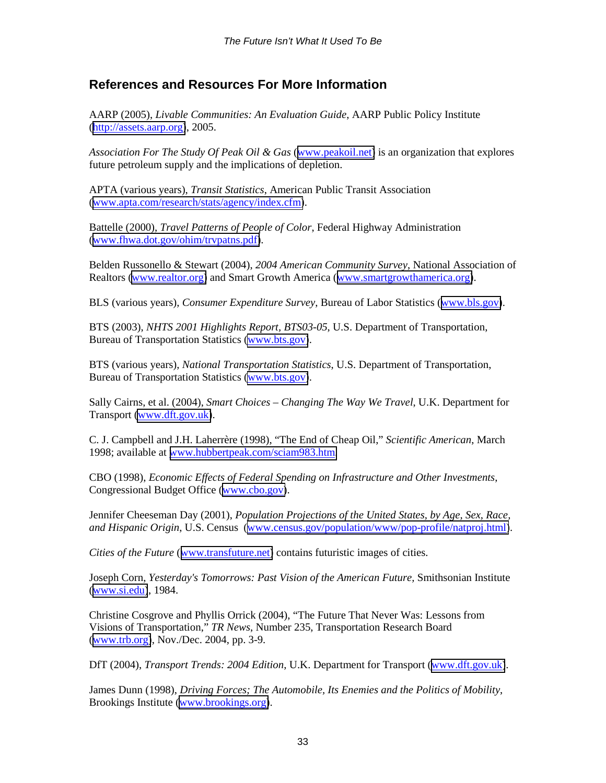## <span id="page-33-0"></span>**References and Resources For More Information**

AARP (2005), *Livable Communities: An Evaluation Guide*, AARP Public Policy Institute ([http://assets.aarp.org\)](http://assets.aarp.org/), 2005.

*Association For The Study Of Peak Oil & Gas* ([www.peakoil.net\)](http://www.peakoil.net/) is an organization that explores future petroleum supply and the implications of depletion.

APTA (various years), *Transit Statistics*, American Public Transit Association ([www.apta.com/research/stats/agency/index.cfm\)](http://www.apta.com/research/stats/agency/index.cfm).

Battelle (2000), *Travel Patterns of People of Color*, Federal Highway Administration ([www.fhwa.dot.gov/ohim/trvpatns.pdf\)](http://www.fhwa.dot.gov/ohim/trvpatns.pdf).

Belden Russonello & Stewart (2004), *2004 American Community Survey*, National Association of Realtors [\(www.realtor.org\)](http://www.realtor.org/) and Smart Growth America ([www.smartgrowthamerica.org\)](http://www.smartgrowthamerica.org/).

BLS (various years), *Consumer Expenditure Survey*, Bureau of Labor Statistics ([www.bls.gov\)](http://www.bls.gov/).

BTS (2003), *NHTS 2001 Highlights Report, BTS03-05*, U.S. Department of Transportation, Bureau of Transportation Statistics [\(www.bts.gov\)](http://www.bts.gov/).

BTS (various years), *National Transportation Statistics*, U.S. Department of Transportation, Bureau of Transportation Statistics [\(www.bts.gov\)](http://www.bts.gov/).

Sally Cairns, et al. (2004), *Smart Choices – Changing The Way We Travel*, U.K. Department for Transport [\(www.dft.gov.uk\)](http://www.dft.gov.uk/).

C. J. Campbell and J.H. Laherrère (1998), "The End of Cheap Oil," *Scientific American*, March 1998; available at [www.hubbertpeak.com/sciam983.htm.](http://www.hubbertpeak.com/sciam983.htm)

CBO (1998), *Economic Effects of Federal Spending on Infrastructure and Other Investments*, Congressional Budget Office ([www.cbo.gov\)](http://www.cbo.gov)/).

Jennifer Cheeseman Day (2001), *Population Projections of the United States, by Age, Sex, Race, and Hispanic Origin*, U.S. Census ([www.census.gov/population/www/pop-profile/natproj.html\)](http://www.census.gov/population/www/pop-profile/natproj.html).

*Cities of the Future* ([www.transfuture.net\)](http://www.transfuture.net/) contains futuristic images of cities.

Joseph Corn, *Yesterday's Tomorrows: Past Vision of the American Future,* Smithsonian Institute ([www.si.edu\)](http://www.si.edu/), 1984.

Christine Cosgrove and Phyllis Orrick (2004), "The Future That Never Was: Lessons from Visions of Transportation," *TR News*, Number 235, Transportation Research Board ([www.trb.org\)](http://www.trb.org/), Nov./Dec. 2004, pp. 3-9.

DfT (2004), *Transport Trends: 2004 Edition*, U.K. Department for Transport ([www.dft.gov.uk\)](http://www.dft.gov.uk/).

James Dunn (1998), *Driving Forces; The Automobile, Its Enemies and the Politics of Mobility*, Brookings Institute [\(www.brookings.org\)](http://www.brookings.org/).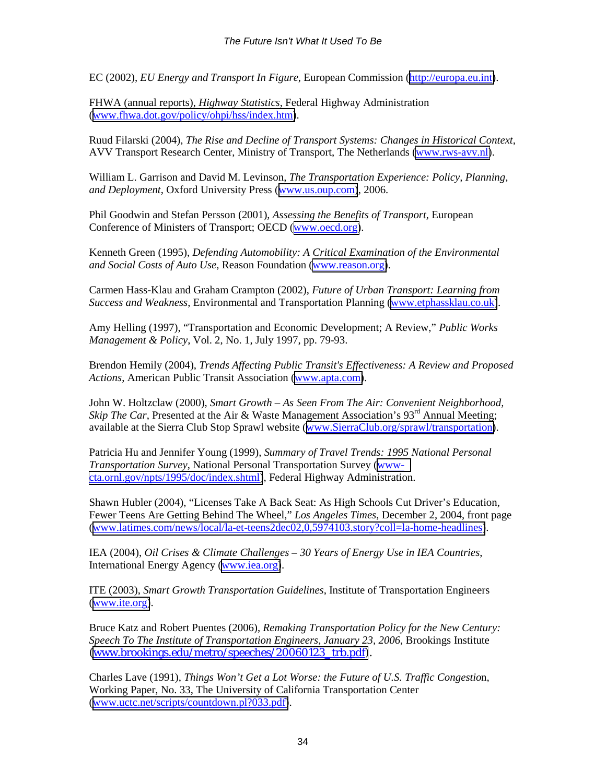EC (2002), *EU Energy and Transport In Figure*, European Commission ([http://europa.eu.int\)](http://europa.eu.int/).

FHWA (annual reports), *Highway Statistics*, Federal Highway Administration ([www.fhwa.dot.gov/policy/ohpi/hss/index.htm\)](http://www.fhwa.dot.gov/policy/ohpi/hss/index.htm).

Ruud Filarski (2004), *The Rise and Decline of Transport Systems: Changes in Historical Context*, AVV Transport Research Center, Ministry of Transport, The Netherlands [\(www.rws-avv.nl\)](http://www.rws-avv.nl/).

William L. Garrison and David M. Levinson, *The Transportation Experience: Policy, Planning, and Deployment*, Oxford University Press ([www.us.oup.com\)](http://www.us.oup.com/), 2006.

Phil Goodwin and Stefan Persson (2001), *Assessing the Benefits of Transport*, European Conference of Ministers of Transport; OECD ([www.oecd.org\)](http://www.oecd.org/).

Kenneth Green (1995), *Defending Automobility: A Critical Examination of the Environmental and Social Costs of Auto Use,* Reason Foundation ([www.reason.org\)](http://www.reason.org/).

Carmen Hass-Klau and Graham Crampton (2002), *Future of Urban Transport: Learning from Success and Weakness*, Environmental and Transportation Planning ([www.etphassklau.co.uk\)](http://www.etphassklau.co.uk/).

Amy Helling (1997), "Transportation and Economic Development; A Review," *Public Works Management & Policy*, Vol. 2, No. 1, July 1997, pp. 79-93.

Brendon Hemily (2004), *Trends Affecting Public Transit's Effectiveness: A Review and Proposed Actions*, American Public Transit Association ([www.apta.com\)](http://www.apta.com/).

John W. Holtzclaw (2000), *Smart Growth – As Seen From The Air: Convenient Neighborhood, Skip The Car*, Presented at the Air & Waste Management Association's  $93<sup>rd</sup>$  Annual Meeting; available at the Sierra Club Stop Sprawl website ([www.SierraClub.org/sprawl/transportation\)](http://www.sierraclub.org/sprawl/transportation).

Patricia Hu and Jennifer Young (1999), *Summary of Travel Trends: 1995 National Personal Transportation Survey*, National Personal Transportation Survey (wwwcta.ornl.gov/npts/1995/doc/index.shtml), Federal Highway Administration.

Shawn Hubler (2004), "Licenses Take A Back Seat: As High Schools Cut Driver's Education, Fewer Teens Are Getting Behind The Wheel," *Los Angeles Times*, December 2, 2004, front page ([www.latimes.com/news/local/la-et-teens2dec02,0,5974103.story?coll=la-home-headlines\)](http://www.latimes.com/news/local/la-et-teens2dec02,0,5974103.story?coll=la-home-headlines).

IEA (2004), *Oil Crises & Climate Challenges* – *30 Years of Energy Use in IEA Countries*, International Energy Agency [\(www.iea.org\)](http://www.iea.org/).

ITE (2003), *Smart Growth Transportation Guidelines*, Institute of Transportation Engineers ([www.ite.org\)](http://www.ite.org/).

Bruce Katz and Robert Puentes (2006), *Remaking Transportation Policy for the New Century: Speech To The Institute of Transportation Engineers, January 23, 2006*, Brookings Institute [\(www.brookings.edu/metro/speeches/20060123\\_trb.pdf\)](http://www.brookings.edu/metro/speeches/20060123_trb.pdf).

Charles Lave (1991), *Things Won't Get a Lot Worse: the Future of U.S. Traffic Congestio*n, Working Paper, No. 33, The University of California Transportation Center ([www.uctc.net/scripts/countdown.pl?033.pdf\)](http://www.uctc.net/scripts/countdown.pl?033.pdf).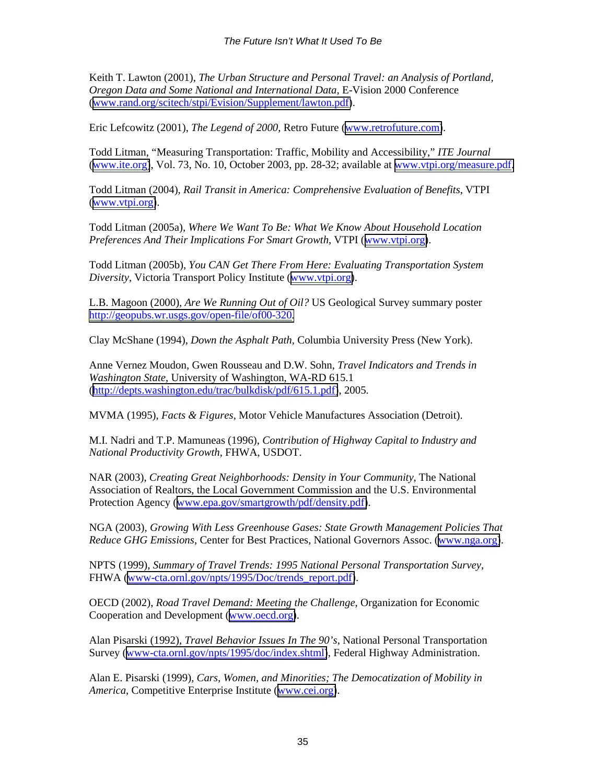Keith T. Lawton (2001), *The Urban Structure and Personal Travel: an Analysis of Portland, Oregon Data and Some National and International Data*, E-Vision 2000 Conference ([www.rand.org/scitech/stpi/Evision/Supplement/lawton.pdf\)](http://www.rand.org/scitech/stpi/Evision/Supplement/lawton.pdf).

Eric Lefcowitz (2001), *The Legend of 2000*, Retro Future ([www.retrofuture.com\)](http://www.retrofuture.com/).

Todd Litman, "Measuring Transportation: Traffic, Mobility and Accessibility," *ITE Journal* ([www.ite.org\)](http://www.ite.org/), Vol. 73, No. 10, October 2003, pp. 28-32; available at [www.vtpi.org/measure.pdf.](http://www.vtpi.org/measure.pdf)

Todd Litman (2004), *Rail Transit in America: Comprehensive Evaluation of Benefits*, VTPI ([www.vtpi.org\)](http://www.vtpi.org/).

Todd Litman (2005a), *Where We Want To Be: What We Know About Household Location Preferences And Their Implications For Smart Growth*, VTPI ([www.vtpi.org\)](http://www.vtpi.org/).

Todd Litman (2005b), *You CAN Get There From Here: Evaluating Transportation System Diversity*, Victoria Transport Policy Institute ([www.vtpi.org\)](http://www.vtpi.org/).

L.B. Magoon (2000), *Are We Running Out of Oil?* US Geological Survey summary poster [http://geopubs.wr.usgs.gov/open-file/of00-320](http://geopubs.wr.usgs.gov/open-file/of00-320/)*.* 

Clay McShane (1994), *Down the Asphalt Path*, Columbia University Press (New York).

Anne Vernez Moudon, Gwen Rousseau and D.W. Sohn, *Travel Indicators and Trends in Washington State*, University of Washington, WA-RD 615.1 ([http://depts.washington.edu/trac/bulkdisk/pdf/615.1.pdf\)](http://depts.washington.edu/trac/bulkdisk/pdf/615.1.pdf), 2005.

MVMA (1995), *Facts & Figures*, Motor Vehicle Manufactures Association (Detroit).

M.I. Nadri and T.P. Mamuneas (1996), *Contribution of Highway Capital to Industry and National Productivity Growth*, FHWA, USDOT.

NAR (2003), *Creating Great Neighborhoods: Density in Your Community*, The National Association of Realtors, the Local Government Commission and the U.S. Environmental Protection Agency ([www.epa.gov/smartgrowth/pdf/density.pdf\)](http://www.epa.gov/smartgrowth/pdf/density.pdf).

NGA (2003), *Growing With Less Greenhouse Gases: State Growth Management Policies That Reduce GHG Emissions*, Center for Best Practices, National Governors Assoc. ([www.nga.org\)](http://www.nga.org/).

NPTS (1999), *Summary of Travel Trends: 1995 National Personal Transportation Survey*, FHWA ([www-cta.ornl.gov/npts/1995/Doc/trends\\_report.pdf\)](#page-0-0).

OECD (2002), *Road Travel Demand: Meeting the Challenge*, Organization for Economic Cooperation and Development ([www.oecd.org\)](http://www.oecd.org/).

Alan Pisarski (1992), *Travel Behavior Issues In The 90's*, National Personal Transportation Survey (www-cta.ornl.gov/npts/1995/doc/index.shtml), Federal Highway Administration.

Alan E. Pisarski (1999), *Cars, Women, and Minorities; The Democatization of Mobility in America*, Competitive Enterprise Institute ([www.cei.org\)](http://www.cei.org/).